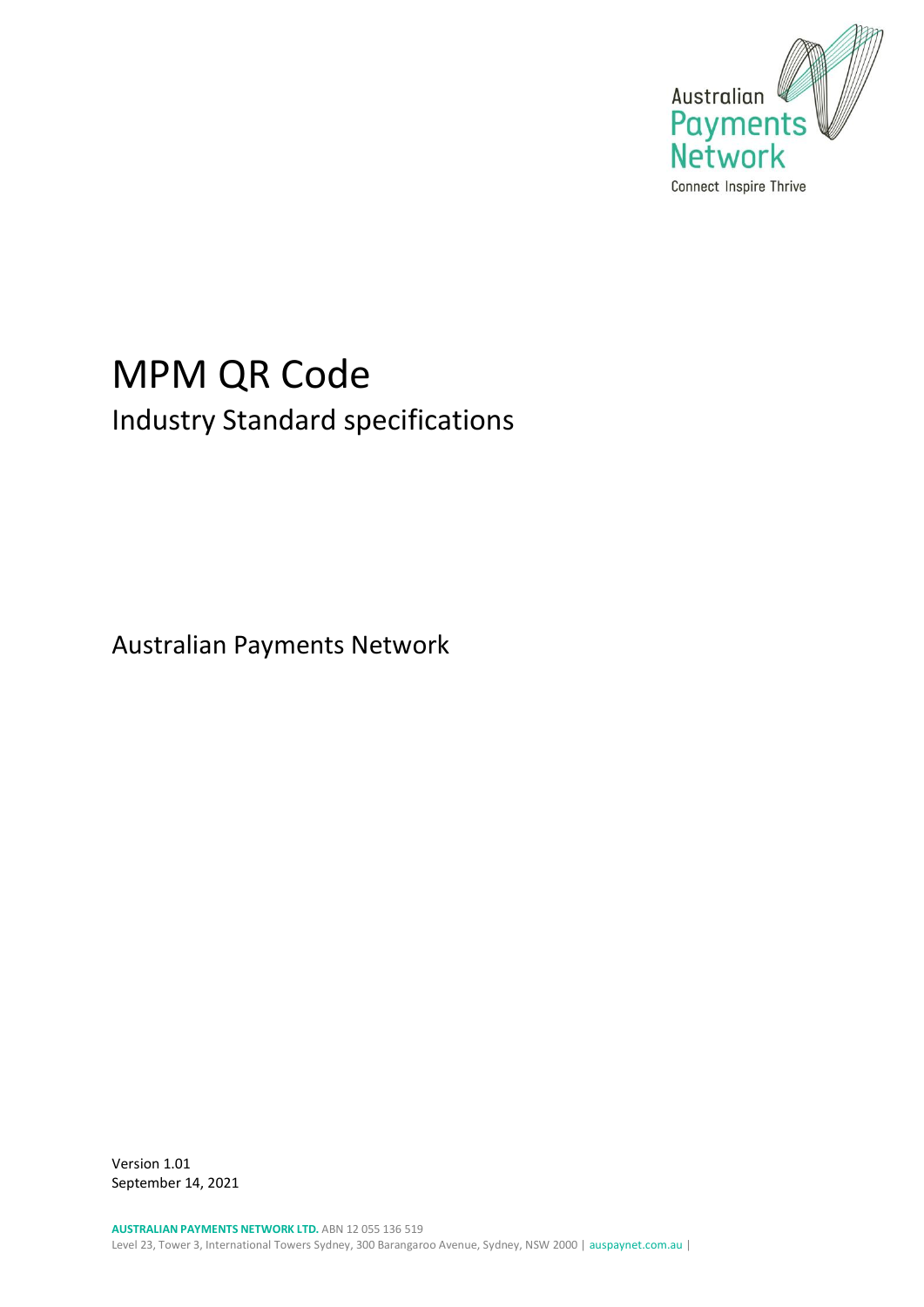

# MPM QR Code Industry Standard specifications

Australian Payments Network

Version 1.01 September 14, 2021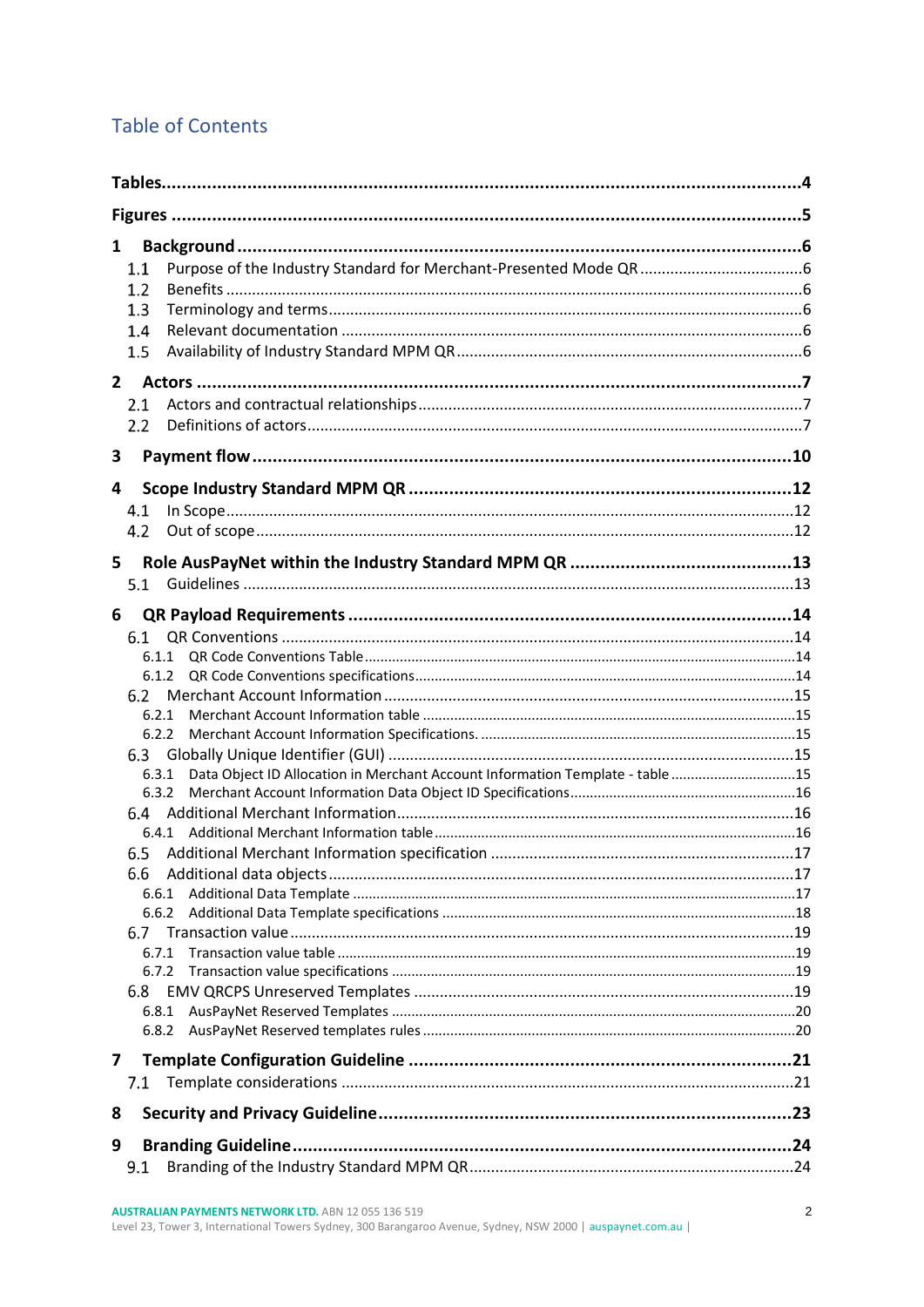# **Table of Contents**

| 1      | 1.1<br>1.2<br>1.3<br>1.4<br>1.5                                                                                                                          |  |
|--------|----------------------------------------------------------------------------------------------------------------------------------------------------------|--|
| 3      | 2.1<br>2.2                                                                                                                                               |  |
| 4<br>5 | 4.1<br>4.2<br>5.1                                                                                                                                        |  |
| 6      | 6.1<br>6.1.1<br>6.1.2<br>6.2<br>6.2.1<br>6.2.2<br>6.3<br>Data Object ID Allocation in Merchant Account Information Template - table 15<br>6.3.1<br>6.3.2 |  |
|        | 6.4<br>6.6<br>6.6.1<br>6.6.2<br>6.7<br>6.7.1<br>6.8<br>6.8.1<br>6.8.2                                                                                    |  |
| 7<br>8 | 7.1                                                                                                                                                      |  |
| 9      | 9.1                                                                                                                                                      |  |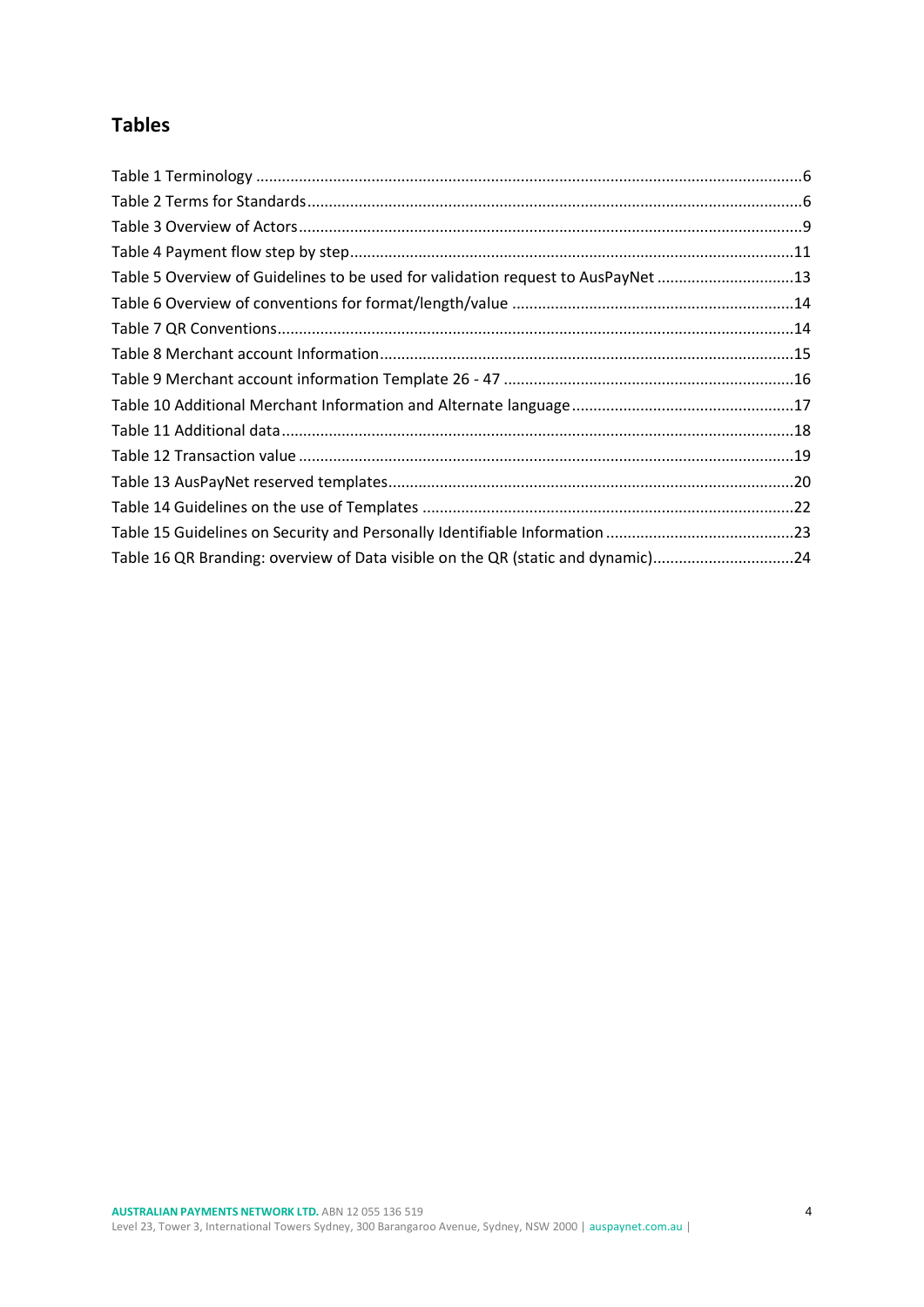# <span id="page-3-0"></span>**Tables**

| Table 5 Overview of Guidelines to be used for validation request to AusPayNet 13 |  |
|----------------------------------------------------------------------------------|--|
|                                                                                  |  |
|                                                                                  |  |
|                                                                                  |  |
|                                                                                  |  |
|                                                                                  |  |
|                                                                                  |  |
|                                                                                  |  |
|                                                                                  |  |
|                                                                                  |  |
|                                                                                  |  |
| Table 16 QR Branding: overview of Data visible on the QR (static and dynamic)24  |  |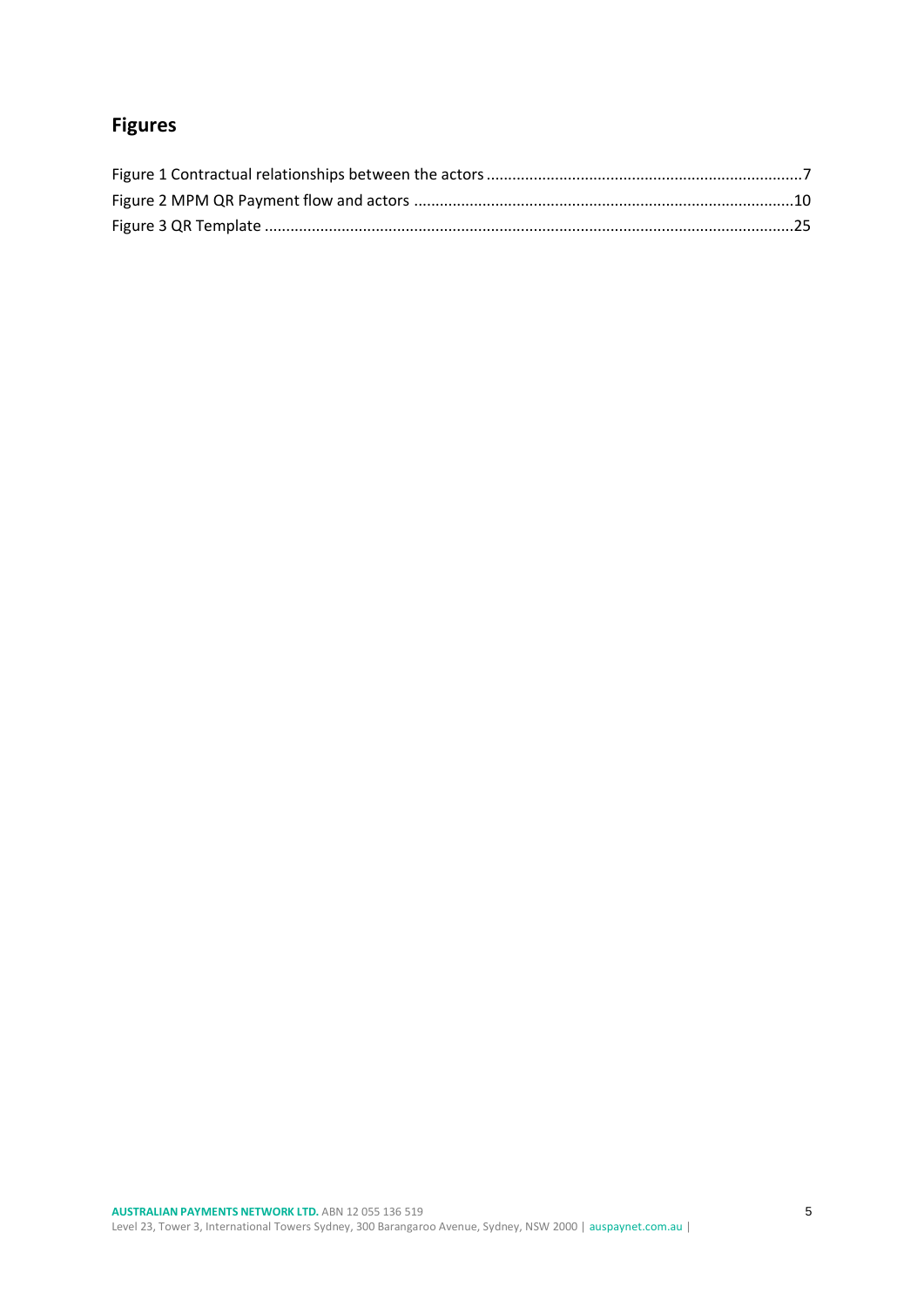# <span id="page-4-0"></span>**Figures**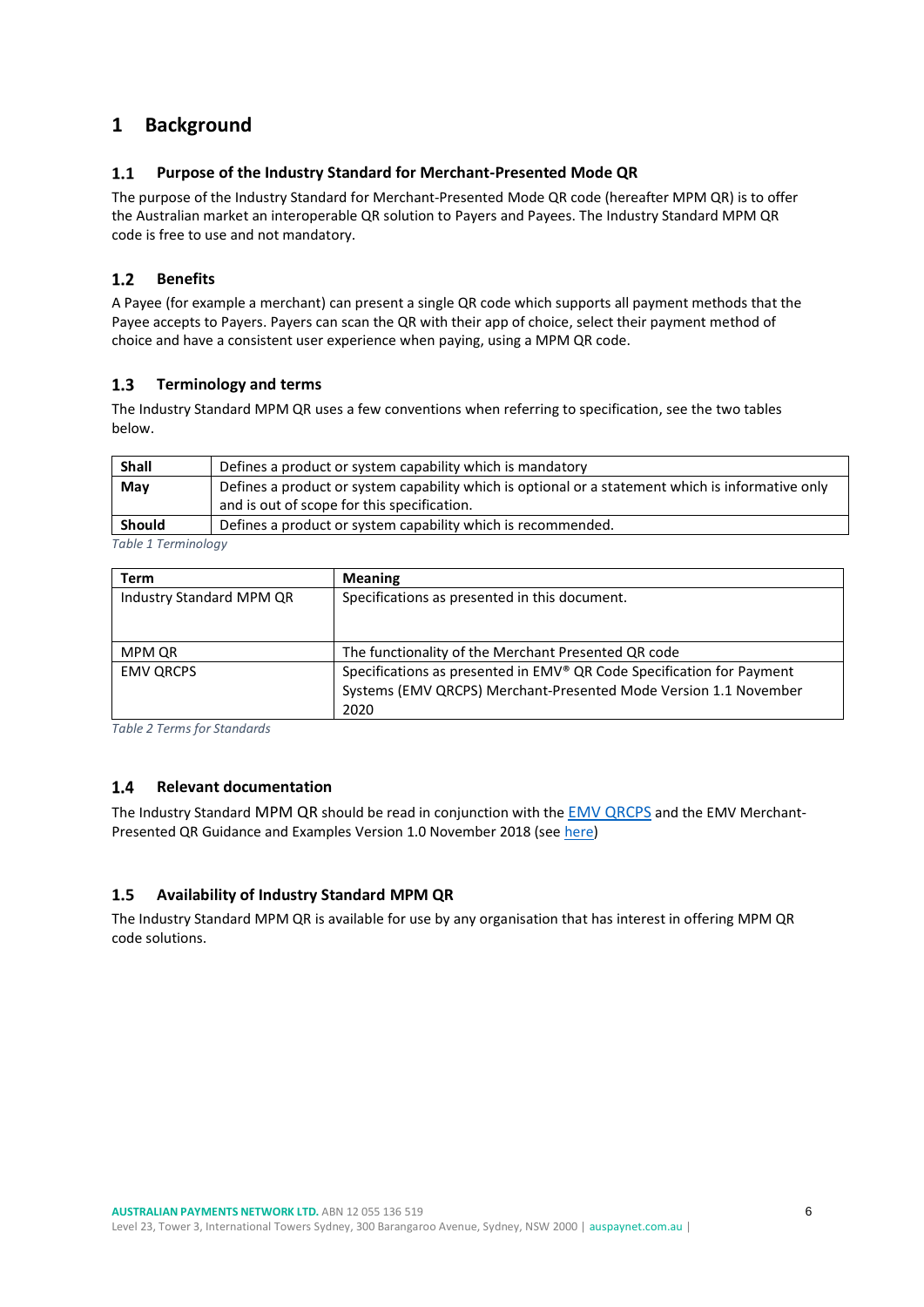# <span id="page-5-0"></span>**1 Background**

#### <span id="page-5-1"></span> $1.1$ **Purpose of the Industry Standard for Merchant-Presented Mode QR**

The purpose of the Industry Standard for Merchant-Presented Mode QR code (hereafter MPM QR) is to offer the Australian market an interoperable QR solution to Payers and Payees. The Industry Standard MPM QR code is free to use and not mandatory.

#### <span id="page-5-2"></span> $1.2$ **Benefits**

A Payee (for example a merchant) can present a single QR code which supports all payment methods that the Payee accepts to Payers. Payers can scan the QR with their app of choice, select their payment method of choice and have a consistent user experience when paying, using a MPM QR code.

#### <span id="page-5-3"></span> $1.3$ **Terminology and terms**

The Industry Standard MPM QR uses a few conventions when referring to specification, see the two tables below.

| <b>Shall</b>                                                                  | Defines a product or system capability which is mandatory                                         |
|-------------------------------------------------------------------------------|---------------------------------------------------------------------------------------------------|
| May                                                                           | Defines a product or system capability which is optional or a statement which is informative only |
|                                                                               | and is out of scope for this specification.                                                       |
| Defines a product or system capability which is recommended.<br><b>Should</b> |                                                                                                   |
|                                                                               |                                                                                                   |

<span id="page-5-6"></span>*Table 1 Terminology*

| Term                     | <b>Meaning</b>                                                        |
|--------------------------|-----------------------------------------------------------------------|
| Industry Standard MPM QR | Specifications as presented in this document.                         |
|                          |                                                                       |
| MPM QR                   | The functionality of the Merchant Presented QR code                   |
| <b>EMV QRCPS</b>         | Specifications as presented in EMV® QR Code Specification for Payment |
|                          | Systems (EMV QRCPS) Merchant-Presented Mode Version 1.1 November      |
|                          | 2020                                                                  |

<span id="page-5-7"></span>*Table 2 Terms for Standards*

#### <span id="page-5-4"></span> $1.4$ **Relevant documentation**

The Industry Standard MPM QR should be read in conjunction with the [EMV QRCPS](https://www.emvco.com/emv-technologies/qrcodes/) and the EMV MerchantPresented QR Guidance and Examples Version 1.0 November 2018 (see [here\)](https://www.emvco.com/emv-technologies/qrcodes/)

#### <span id="page-5-5"></span> $1.5$ **Availability of Industry Standard MPM QR**

The Industry Standard MPM QR is available for use by any organisation that has interest in offering MPM QR code solutions.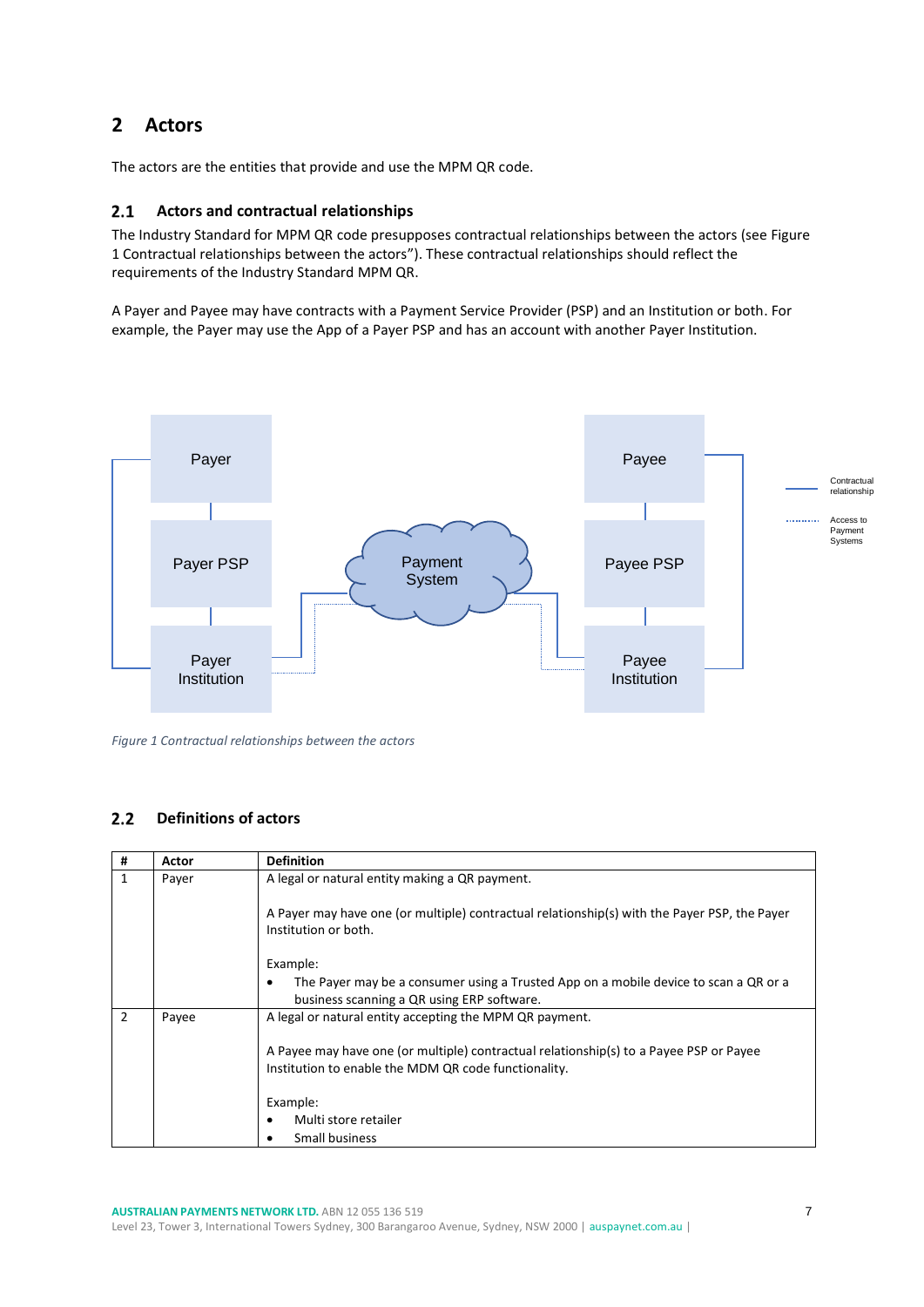# <span id="page-6-0"></span>**2 Actors**

The actors are the entities that provide and use the MPM QR code.

#### <span id="page-6-1"></span> $2.1$ **Actors and contractual relationships**

The Industry Standard for MPM QR code presupposes contractual relationships between the actors (se[e Figure](#page-6-3)  1 [Contractual relationships between the actors](#page-6-3)"). These contractual relationships should reflect the requirements of the Industry Standard MPM QR.

A Payer and Payee may have contracts with a Payment Service Provider (PSP) and an Institution or both. For example, the Payer may use the App of a Payer PSP and has an account with another Payer Institution.



<span id="page-6-3"></span>*Figure 1 Contractual relationships between the actors* 

#### <span id="page-6-2"></span> $2.2$ **Definitions of actors**

| #              | Actor | <b>Definition</b>                                                                                                                  |  |  |
|----------------|-------|------------------------------------------------------------------------------------------------------------------------------------|--|--|
| 1              | Payer | A legal or natural entity making a QR payment.                                                                                     |  |  |
|                |       | A Payer may have one (or multiple) contractual relationship(s) with the Payer PSP, the Payer<br>Institution or both.               |  |  |
|                |       | Example:                                                                                                                           |  |  |
|                |       | The Payer may be a consumer using a Trusted App on a mobile device to scan a QR or a<br>business scanning a QR using ERP software. |  |  |
| $\overline{2}$ | Payee | A legal or natural entity accepting the MPM QR payment.                                                                            |  |  |
|                |       | A Payee may have one (or multiple) contractual relationship(s) to a Payee PSP or Payee                                             |  |  |
|                |       | Institution to enable the MDM QR code functionality.                                                                               |  |  |
|                |       | Example:                                                                                                                           |  |  |
|                |       | Multi store retailer                                                                                                               |  |  |
|                |       | Small business                                                                                                                     |  |  |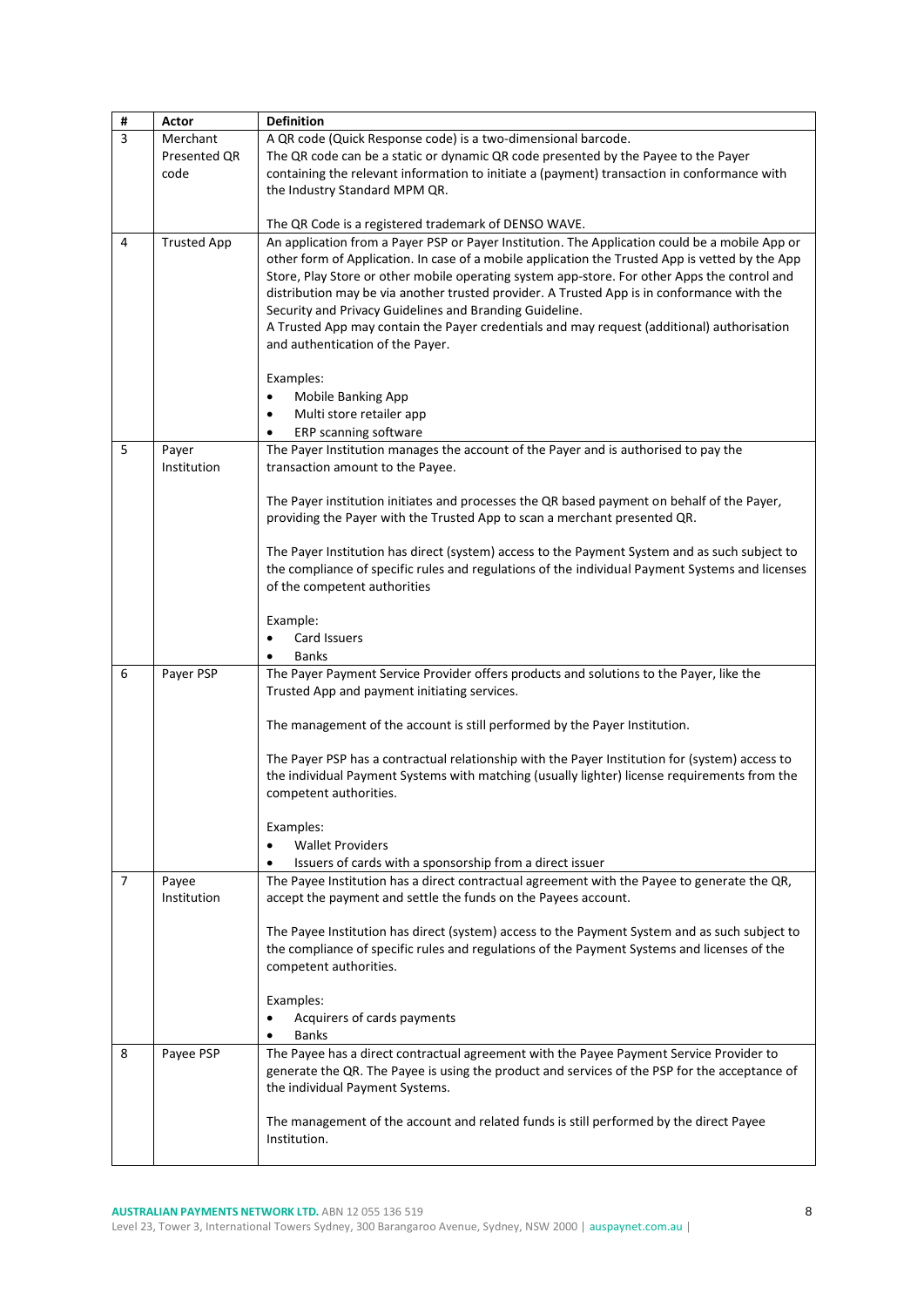| #                      | Actor              | <b>Definition</b>                                                                               |  |
|------------------------|--------------------|-------------------------------------------------------------------------------------------------|--|
| 3                      | Merchant           | A QR code (Quick Response code) is a two-dimensional barcode.                                   |  |
|                        | Presented QR       | The QR code can be a static or dynamic QR code presented by the Payee to the Payer              |  |
|                        | code               | containing the relevant information to initiate a (payment) transaction in conformance with     |  |
|                        |                    | the Industry Standard MPM QR.                                                                   |  |
|                        |                    |                                                                                                 |  |
|                        |                    | The QR Code is a registered trademark of DENSO WAVE.                                            |  |
| 4                      | <b>Trusted App</b> | An application from a Payer PSP or Payer Institution. The Application could be a mobile App or  |  |
|                        |                    | other form of Application. In case of a mobile application the Trusted App is vetted by the App |  |
|                        |                    | Store, Play Store or other mobile operating system app-store. For other Apps the control and    |  |
|                        |                    | distribution may be via another trusted provider. A Trusted App is in conformance with the      |  |
|                        |                    | Security and Privacy Guidelines and Branding Guideline.                                         |  |
|                        |                    | A Trusted App may contain the Payer credentials and may request (additional) authorisation      |  |
|                        |                    | and authentication of the Payer.                                                                |  |
|                        |                    |                                                                                                 |  |
|                        |                    | Examples:                                                                                       |  |
|                        |                    | Mobile Banking App<br>$\bullet$                                                                 |  |
|                        |                    | Multi store retailer app<br>$\bullet$                                                           |  |
|                        |                    | ERP scanning software<br>٠                                                                      |  |
| 5                      | Payer              | The Payer Institution manages the account of the Payer and is authorised to pay the             |  |
|                        | Institution        | transaction amount to the Payee.                                                                |  |
|                        |                    |                                                                                                 |  |
|                        |                    | The Payer institution initiates and processes the QR based payment on behalf of the Payer,      |  |
|                        |                    | providing the Payer with the Trusted App to scan a merchant presented QR.                       |  |
|                        |                    | The Payer Institution has direct (system) access to the Payment System and as such subject to   |  |
|                        |                    | the compliance of specific rules and regulations of the individual Payment Systems and licenses |  |
|                        |                    | of the competent authorities                                                                    |  |
|                        |                    |                                                                                                 |  |
|                        |                    | Example:                                                                                        |  |
|                        |                    | Card Issuers<br>$\bullet$                                                                       |  |
|                        |                    | <b>Banks</b>                                                                                    |  |
| 6                      | Payer PSP          | The Payer Payment Service Provider offers products and solutions to the Payer, like the         |  |
|                        |                    | Trusted App and payment initiating services.                                                    |  |
|                        |                    |                                                                                                 |  |
|                        |                    | The management of the account is still performed by the Payer Institution.                      |  |
|                        |                    | The Payer PSP has a contractual relationship with the Payer Institution for (system) access to  |  |
|                        |                    | the individual Payment Systems with matching (usually lighter) license requirements from the    |  |
| competent authorities. |                    |                                                                                                 |  |
|                        |                    |                                                                                                 |  |
|                        |                    | Examples:                                                                                       |  |
|                        |                    | <b>Wallet Providers</b><br>٠                                                                    |  |
|                        |                    | Issuers of cards with a sponsorship from a direct issuer                                        |  |
| $\overline{7}$         | Payee              | The Payee Institution has a direct contractual agreement with the Payee to generate the QR,     |  |
|                        | Institution        | accept the payment and settle the funds on the Payees account.                                  |  |
|                        |                    |                                                                                                 |  |
|                        |                    | The Payee Institution has direct (system) access to the Payment System and as such subject to   |  |
|                        |                    | the compliance of specific rules and regulations of the Payment Systems and licenses of the     |  |
|                        |                    | competent authorities.                                                                          |  |
|                        |                    |                                                                                                 |  |
|                        |                    | Examples:                                                                                       |  |
|                        |                    | Acquirers of cards payments                                                                     |  |
|                        |                    | <b>Banks</b>                                                                                    |  |
| 8                      | Payee PSP          | The Payee has a direct contractual agreement with the Payee Payment Service Provider to         |  |
|                        |                    | generate the QR. The Payee is using the product and services of the PSP for the acceptance of   |  |
|                        |                    | the individual Payment Systems.                                                                 |  |
|                        |                    | The management of the account and related funds is still performed by the direct Payee          |  |
|                        |                    | Institution.                                                                                    |  |
|                        |                    |                                                                                                 |  |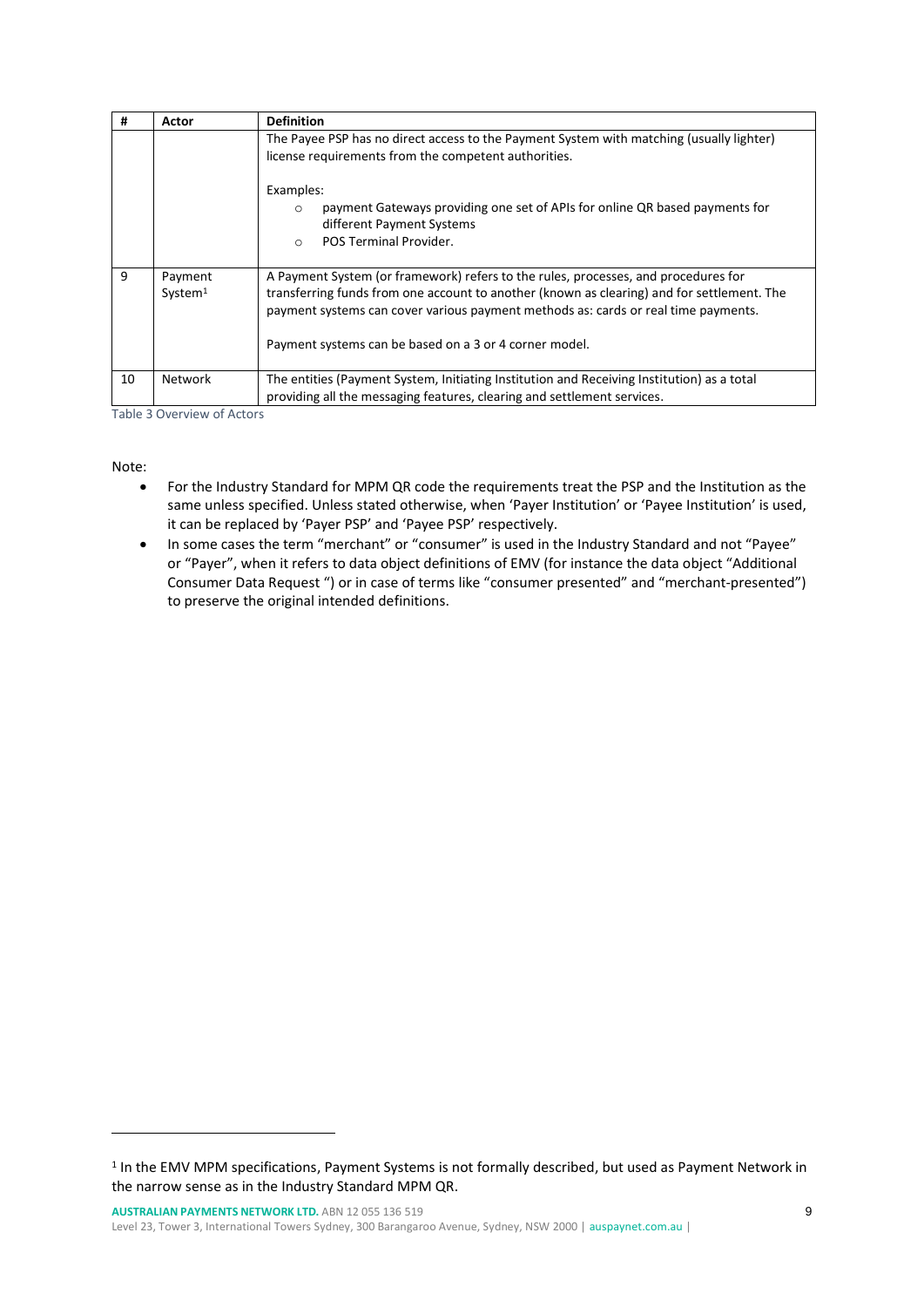| #  | Actor                          | <b>Definition</b>                                                                                                                                                                                                                                                                                                                |  |
|----|--------------------------------|----------------------------------------------------------------------------------------------------------------------------------------------------------------------------------------------------------------------------------------------------------------------------------------------------------------------------------|--|
|    |                                | The Payee PSP has no direct access to the Payment System with matching (usually lighter)<br>license requirements from the competent authorities.                                                                                                                                                                                 |  |
|    |                                | Examples:<br>payment Gateways providing one set of APIs for online QR based payments for<br>$\circ$<br>different Payment Systems<br>POS Terminal Provider.<br>$\circ$                                                                                                                                                            |  |
| 9  | Payment<br>System <sup>1</sup> | A Payment System (or framework) refers to the rules, processes, and procedures for<br>transferring funds from one account to another (known as clearing) and for settlement. The<br>payment systems can cover various payment methods as: cards or real time payments.<br>Payment systems can be based on a 3 or 4 corner model. |  |
| 10 | <b>Network</b>                 | The entities (Payment System, Initiating Institution and Receiving Institution) as a total<br>providing all the messaging features, clearing and settlement services.                                                                                                                                                            |  |

<span id="page-8-0"></span>Table 3 Overview of Actors

Note:

- For the Industry Standard for MPM QR code the requirements treat the PSP and the Institution as the same unless specified. Unless stated otherwise, when 'Payer Institution' or 'Payee Institution' is used, it can be replaced by 'Payer PSP' and 'Payee PSP' respectively.
- In some cases the term "merchant" or "consumer" is used in the Industry Standard and not "Payee" or "Payer", when it refers to data object definitions of EMV (for instance the data object "Additional Consumer Data Request ") or in case of terms like "consumer presented" and "merchant-presented") to preserve the original intended definitions.

<sup>&</sup>lt;sup>1</sup> In the EMV MPM specifications, Payment Systems is not formally described, but used as Payment Network in the narrow sense as in the Industry Standard MPM QR.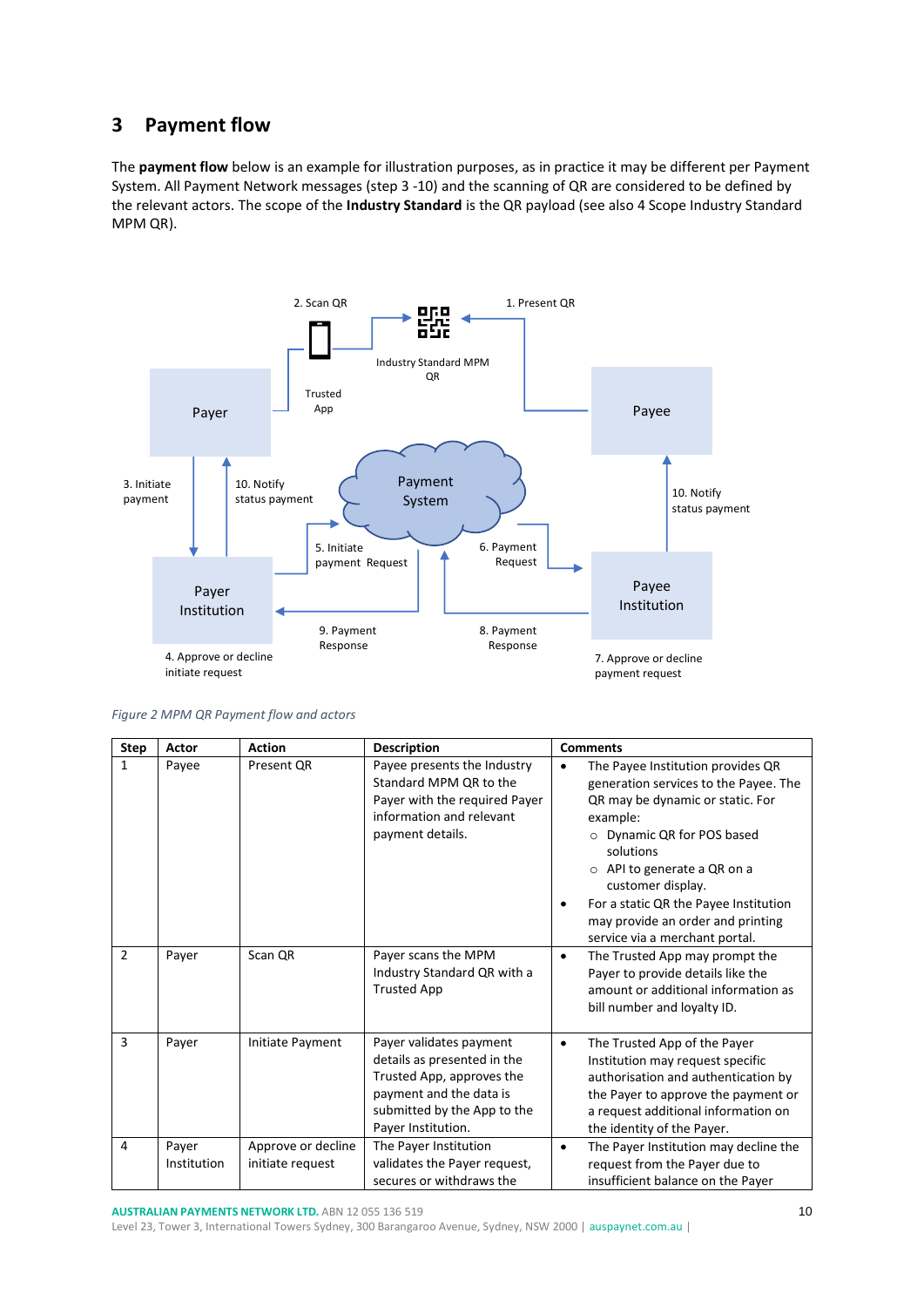# <span id="page-9-0"></span>**3 Payment flow**

The **payment flow** below is an example for illustration purposes, as in practice it may be different per Payment System. All Payment Network messages (step 3 -10) and the scanning of QR are considered to be defined by the relevant actors. The scope of the **Industry Standard** is the QR payload (see also [4](#page-11-0) [Scope Industry Standard](#page-11-0)  [MPM QR\)](#page-11-0).



<span id="page-9-1"></span>*Figure 2 MPM QR Payment flow and actors*

| <b>Step</b>    | Actor                | <b>Action</b>                          | <b>Description</b>                                                                                                                                                  | <b>Comments</b>                                                                                                                                                                                                                                                                                                                                                             |
|----------------|----------------------|----------------------------------------|---------------------------------------------------------------------------------------------------------------------------------------------------------------------|-----------------------------------------------------------------------------------------------------------------------------------------------------------------------------------------------------------------------------------------------------------------------------------------------------------------------------------------------------------------------------|
| 1              | Payee                | Present QR                             | Payee presents the Industry<br>Standard MPM QR to the<br>Payer with the required Payer<br>information and relevant<br>payment details.                              | The Payee Institution provides QR<br>$\bullet$<br>generation services to the Payee. The<br>QR may be dynamic or static. For<br>example:<br>Dynamic QR for POS based<br>$\Omega$<br>solutions<br>$\circ$ API to generate a QR on a<br>customer display.<br>For a static QR the Payee Institution<br>٠<br>may provide an order and printing<br>service via a merchant portal. |
| $\overline{2}$ | Payer                | Scan QR                                | Payer scans the MPM<br>Industry Standard QR with a<br><b>Trusted App</b>                                                                                            | The Trusted App may prompt the<br>$\bullet$<br>Payer to provide details like the<br>amount or additional information as<br>bill number and loyalty ID.                                                                                                                                                                                                                      |
| 3              | Payer                | Initiate Payment                       | Payer validates payment<br>details as presented in the<br>Trusted App, approves the<br>payment and the data is<br>submitted by the App to the<br>Payer Institution. | The Trusted App of the Payer<br>$\bullet$<br>Institution may request specific<br>authorisation and authentication by<br>the Payer to approve the payment or<br>a request additional information on<br>the identity of the Payer.                                                                                                                                            |
| 4              | Payer<br>Institution | Approve or decline<br>initiate request | The Payer Institution<br>validates the Payer request,<br>secures or withdraws the                                                                                   | The Payer Institution may decline the<br>$\bullet$<br>request from the Payer due to<br>insufficient balance on the Payer                                                                                                                                                                                                                                                    |

**AUSTRALIAN PAYMENTS NETWORK LTD.** ABN 12 055 136 519

Level 23, Tower 3, International Towers Sydney, 300 Barangaroo Avenue, Sydney, NSW 2000 | [auspaynet.com.au](http://www.auspaynet.com.au/) |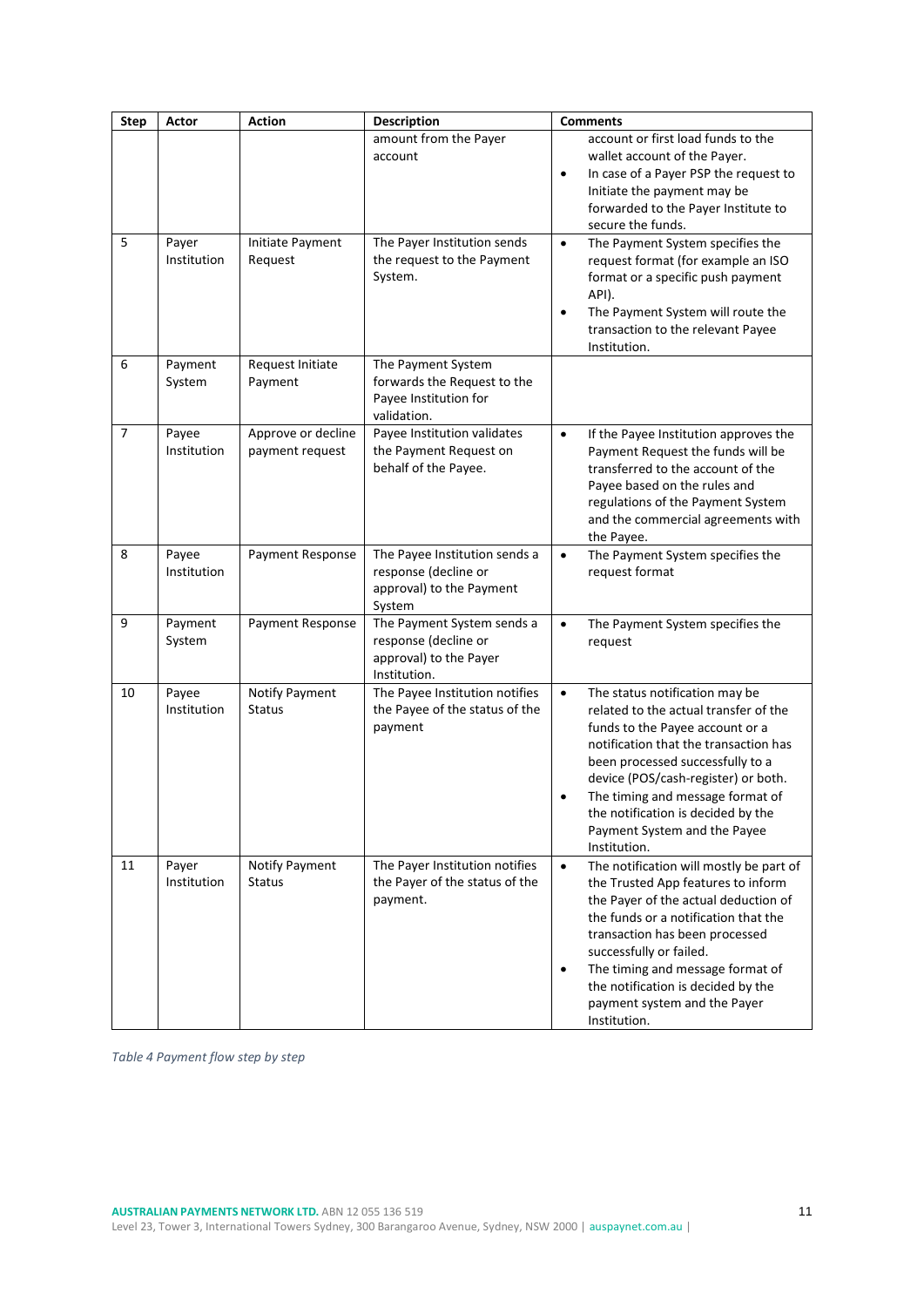| <b>Step</b>    | Actor                | <b>Action</b>                         | <b>Description</b>                                                                           | <b>Comments</b>                                                                                                                                                                                                                                                                                                                                                                |
|----------------|----------------------|---------------------------------------|----------------------------------------------------------------------------------------------|--------------------------------------------------------------------------------------------------------------------------------------------------------------------------------------------------------------------------------------------------------------------------------------------------------------------------------------------------------------------------------|
|                |                      |                                       | amount from the Payer<br>account                                                             | account or first load funds to the<br>wallet account of the Payer.<br>In case of a Payer PSP the request to<br>$\bullet$<br>Initiate the payment may be<br>forwarded to the Payer Institute to<br>secure the funds.                                                                                                                                                            |
| 5              | Payer<br>Institution | Initiate Payment<br>Request           | The Payer Institution sends<br>the request to the Payment<br>System.                         | The Payment System specifies the<br>$\bullet$<br>request format (for example an ISO<br>format or a specific push payment<br>API).<br>The Payment System will route the<br>$\bullet$<br>transaction to the relevant Payee<br>Institution.                                                                                                                                       |
| 6              | Payment<br>System    | Request Initiate<br>Payment           | The Payment System<br>forwards the Request to the<br>Payee Institution for<br>validation.    |                                                                                                                                                                                                                                                                                                                                                                                |
| $\overline{7}$ | Payee<br>Institution | Approve or decline<br>payment request | Payee Institution validates<br>the Payment Request on<br>behalf of the Payee.                | If the Payee Institution approves the<br>$\bullet$<br>Payment Request the funds will be<br>transferred to the account of the<br>Payee based on the rules and<br>regulations of the Payment System<br>and the commercial agreements with<br>the Payee.                                                                                                                          |
| 8              | Payee<br>Institution | Payment Response                      | The Payee Institution sends a<br>response (decline or<br>approval) to the Payment<br>System  | The Payment System specifies the<br>$\bullet$<br>request format                                                                                                                                                                                                                                                                                                                |
| 9              | Payment<br>System    | Payment Response                      | The Payment System sends a<br>response (decline or<br>approval) to the Payer<br>Institution. | The Payment System specifies the<br>$\bullet$<br>request                                                                                                                                                                                                                                                                                                                       |
| 10             | Payee<br>Institution | Notify Payment<br><b>Status</b>       | The Payee Institution notifies<br>the Payee of the status of the<br>payment                  | $\bullet$<br>The status notification may be<br>related to the actual transfer of the<br>funds to the Payee account or a<br>notification that the transaction has<br>been processed successfully to a<br>device (POS/cash-register) or both.<br>The timing and message format of<br>the notification is decided by the<br>Payment System and the Payee<br>Institution.          |
| 11             | Payer<br>Institution | Notify Payment<br><b>Status</b>       | The Payer Institution notifies<br>the Payer of the status of the<br>payment.                 | The notification will mostly be part of<br>$\bullet$<br>the Trusted App features to inform<br>the Payer of the actual deduction of<br>the funds or a notification that the<br>transaction has been processed<br>successfully or failed.<br>The timing and message format of<br>$\bullet$<br>the notification is decided by the<br>payment system and the Payer<br>Institution. |

<span id="page-10-0"></span>*Table 4 Payment flow step by step*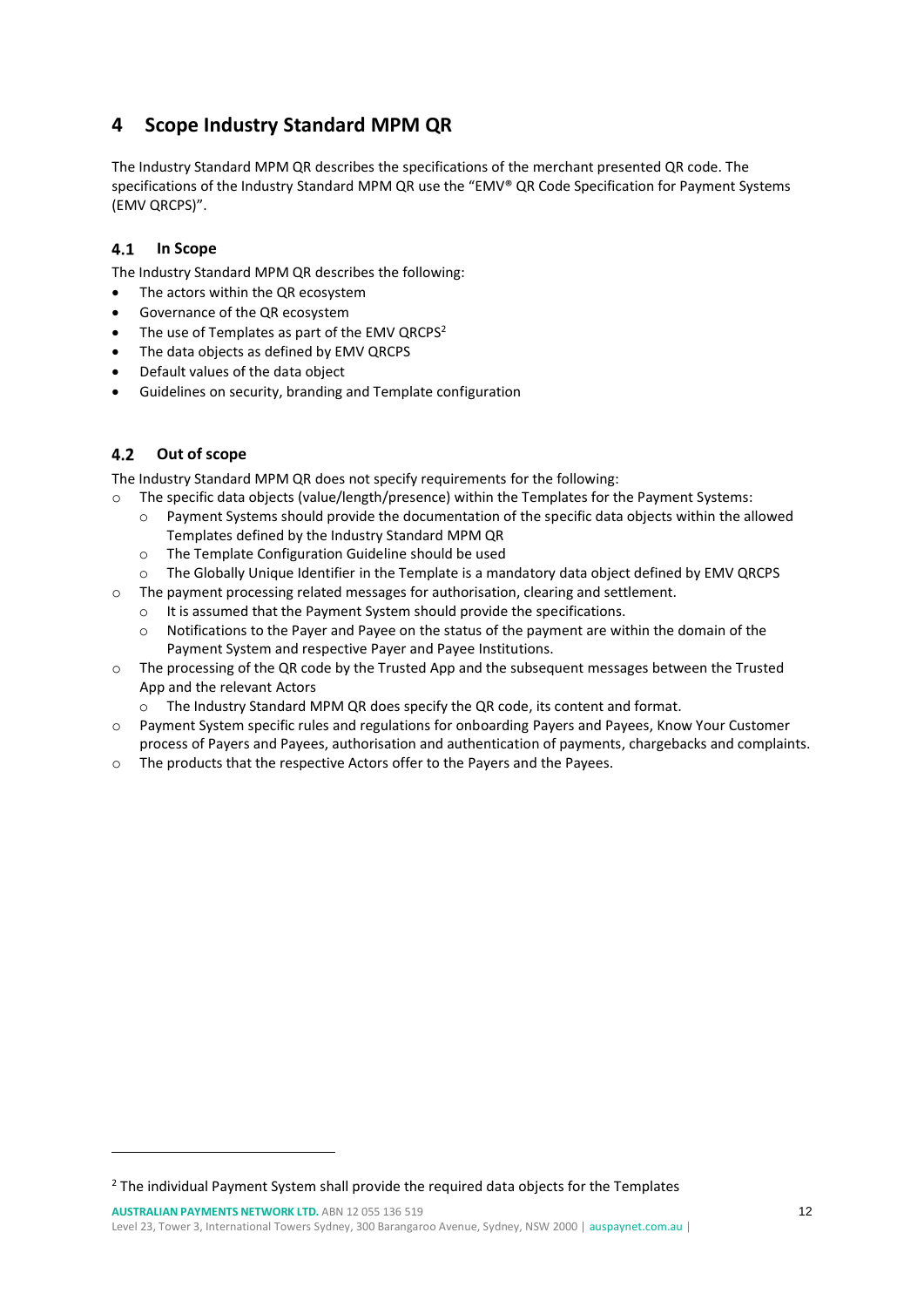# <span id="page-11-0"></span>**4 Scope Industry Standard MPM QR**

The Industry Standard MPM QR describes the specifications of the merchant presented QR code. The specifications of the Industry Standard MPM QR use the "EMV® QR Code Specification for Payment Systems (EMV QRCPS)".

#### <span id="page-11-1"></span> $4.1$ **In Scope**

The Industry Standard MPM QR describes the following:

- The actors within the QR ecosystem
- Governance of the QR ecosystem
- The use of Templates as part of the EMV QRCPS<sup>2</sup>
- The data objects as defined by EMV QRCPS
- Default values of the data object
- Guidelines on security, branding and Template configuration

#### <span id="page-11-2"></span> $4.2$ **Out of scope**

The Industry Standard MPM QR does not specify requirements for the following:

- o The specific data objects (value/length/presence) within the Templates for the Payment Systems:
	- o Payment Systems should provide the documentation of the specific data objects within the allowed Templates defined by the Industry Standard MPM QR
	- o The [Template Configuration Guideline](#page-20-0) should be used
	- o The Globally Unique Identifier in the Template is a mandatory data object defined by EMV QRCPS
- $\circ$  The payment processing related messages for authorisation, clearing and settlement.
	- o It is assumed that the Payment System should provide the specifications.
	- $\circ$  Notifications to the Payer and Payee on the status of the payment are within the domain of the Payment System and respective Payer and Payee Institutions.
- o The processing of the QR code by the Trusted App and the subsequent messages between the Trusted App and the relevant Actors
	- $\circ$  The Industry Standard MPM QR does specify the QR code, its content and format.
- o Payment System specific rules and regulations for onboarding Payers and Payees, Know Your Customer process of Payers and Payees, authorisation and authentication of payments, chargebacks and complaints.
- o The products that the respective Actors offer to the Payers and the Payees.

<sup>2</sup> The individual Payment System shall provide the required data objects for the Templates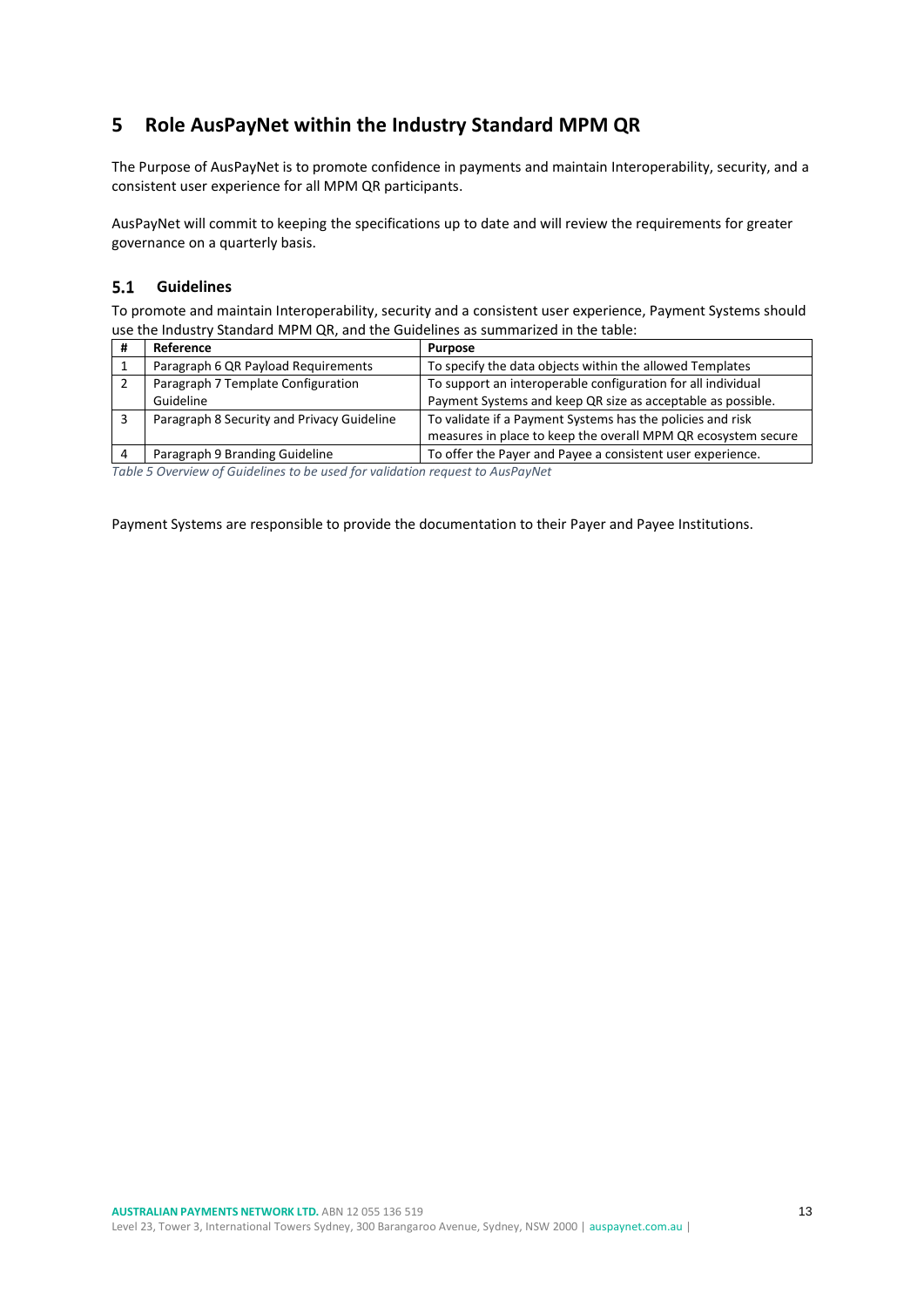# <span id="page-12-0"></span>**5 Role AusPayNet within the Industry Standard MPM QR**

The Purpose of AusPayNet is to promote confidence in payments and maintain Interoperability, security, and a consistent user experience for all MPM QR participants.

AusPayNet will commit to keeping the specifications up to date and will review the requirements for greater governance on a quarterly basis.

#### <span id="page-12-1"></span> $5.1$ **Guidelines**

To promote and maintain Interoperability, security and a consistent user experience, Payment Systems should use the Industry Standard MPM QR, and the Guidelines as summarized in the table:

| Reference                                  | <b>Purpose</b>                                                |
|--------------------------------------------|---------------------------------------------------------------|
| Paragraph 6 QR Payload Requirements        | To specify the data objects within the allowed Templates      |
| Paragraph 7 Template Configuration         | To support an interoperable configuration for all individual  |
| Guideline                                  | Payment Systems and keep QR size as acceptable as possible.   |
| Paragraph 8 Security and Privacy Guideline | To validate if a Payment Systems has the policies and risk    |
|                                            | measures in place to keep the overall MPM QR ecosystem secure |
| Paragraph 9 Branding Guideline             | To offer the Payer and Payee a consistent user experience.    |

<span id="page-12-2"></span>*Table 5 Overview of Guidelines to be used for validation request to AusPayNet*

Payment Systems are responsible to provide the documentation to their Payer and Payee Institutions.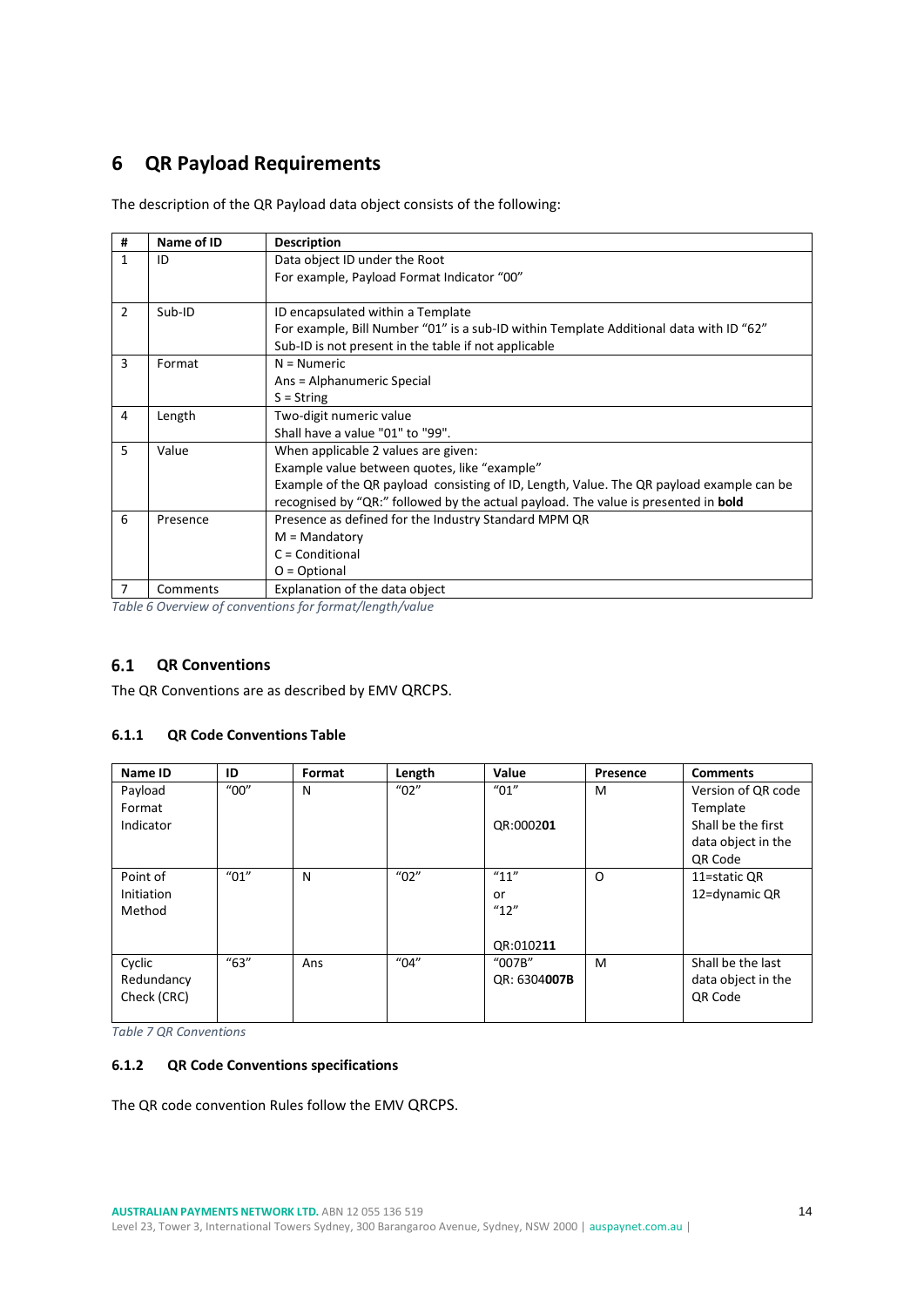# <span id="page-13-0"></span>**6 QR Payload Requirements**

The description of the QR Payload data object consists of the following:

| # | Name of ID | <b>Description</b>                                                                       |
|---|------------|------------------------------------------------------------------------------------------|
| 1 | ID         | Data object ID under the Root                                                            |
|   |            | For example, Payload Format Indicator "00"                                               |
|   |            |                                                                                          |
| 2 | Sub-ID     | ID encapsulated within a Template                                                        |
|   |            | For example, Bill Number "01" is a sub-ID within Template Additional data with ID "62"   |
|   |            | Sub-ID is not present in the table if not applicable                                     |
| 3 | Format     | $N =$ Numeric                                                                            |
|   |            | Ans = Alphanumeric Special                                                               |
|   |            | $S = String$                                                                             |
| 4 | Length     | Two-digit numeric value                                                                  |
|   |            | Shall have a value "01" to "99".                                                         |
| 5 | Value      | When applicable 2 values are given:                                                      |
|   |            | Example value between quotes, like "example"                                             |
|   |            | Example of the QR payload consisting of ID, Length, Value. The QR payload example can be |
|   |            | recognised by "QR:" followed by the actual payload. The value is presented in bold       |
| 6 | Presence   | Presence as defined for the Industry Standard MPM QR                                     |
|   |            | $M =$ Mandatory                                                                          |
|   |            | $C =$ Conditional                                                                        |
|   |            | $O = Optional$                                                                           |
| 7 | Comments   | Explanation of the data object                                                           |

<span id="page-13-4"></span>*Table 6 Overview of conventions for format/length/value*

#### <span id="page-13-1"></span> $6.1$ **QR Conventions**

The QR Conventions are as described by EMV QRCPS.

### <span id="page-13-2"></span>**6.1.1 QR Code Conventions Table**

| Name ID           | ID                                 | Format | Length                | Value                 | Presence | <b>Comments</b>    |
|-------------------|------------------------------------|--------|-----------------------|-----------------------|----------|--------------------|
| Payload           | $^{\prime\prime}00^{\prime\prime}$ | N      | $^{\prime\prime}$ 02" | $^{\prime\prime}$ 01" | M        | Version of QR code |
| Format            |                                    |        |                       |                       |          | Template           |
| Indicator         |                                    |        |                       | QR:000201             |          | Shall be the first |
|                   |                                    |        |                       |                       |          | data object in the |
|                   |                                    |        |                       |                       |          | QR Code            |
| Point of          | $^{\prime\prime}01^{\prime\prime}$ | N      | $^{\prime\prime}$ 02" | "11"                  | $\Omega$ | 11=static QR       |
| <b>Initiation</b> |                                    |        |                       | or                    |          | 12=dynamic QR      |
| Method            |                                    |        |                       | ''12''                |          |                    |
|                   |                                    |        |                       |                       |          |                    |
|                   |                                    |        |                       | QR:010211             |          |                    |
| Cyclic            | "63"                               | Ans    | $^{\prime\prime}$ 04" | "007B"                | M        | Shall be the last  |
| Redundancy        |                                    |        |                       | QR: 6304007B          |          | data object in the |
| Check (CRC)       |                                    |        |                       |                       |          | <b>QR Code</b>     |
|                   |                                    |        |                       |                       |          |                    |

<span id="page-13-5"></span>*Table 7 QR Conventions*

### <span id="page-13-3"></span>**6.1.2 QR Code Conventions specifications**

The QR code convention Rules follow the EMV QRCPS.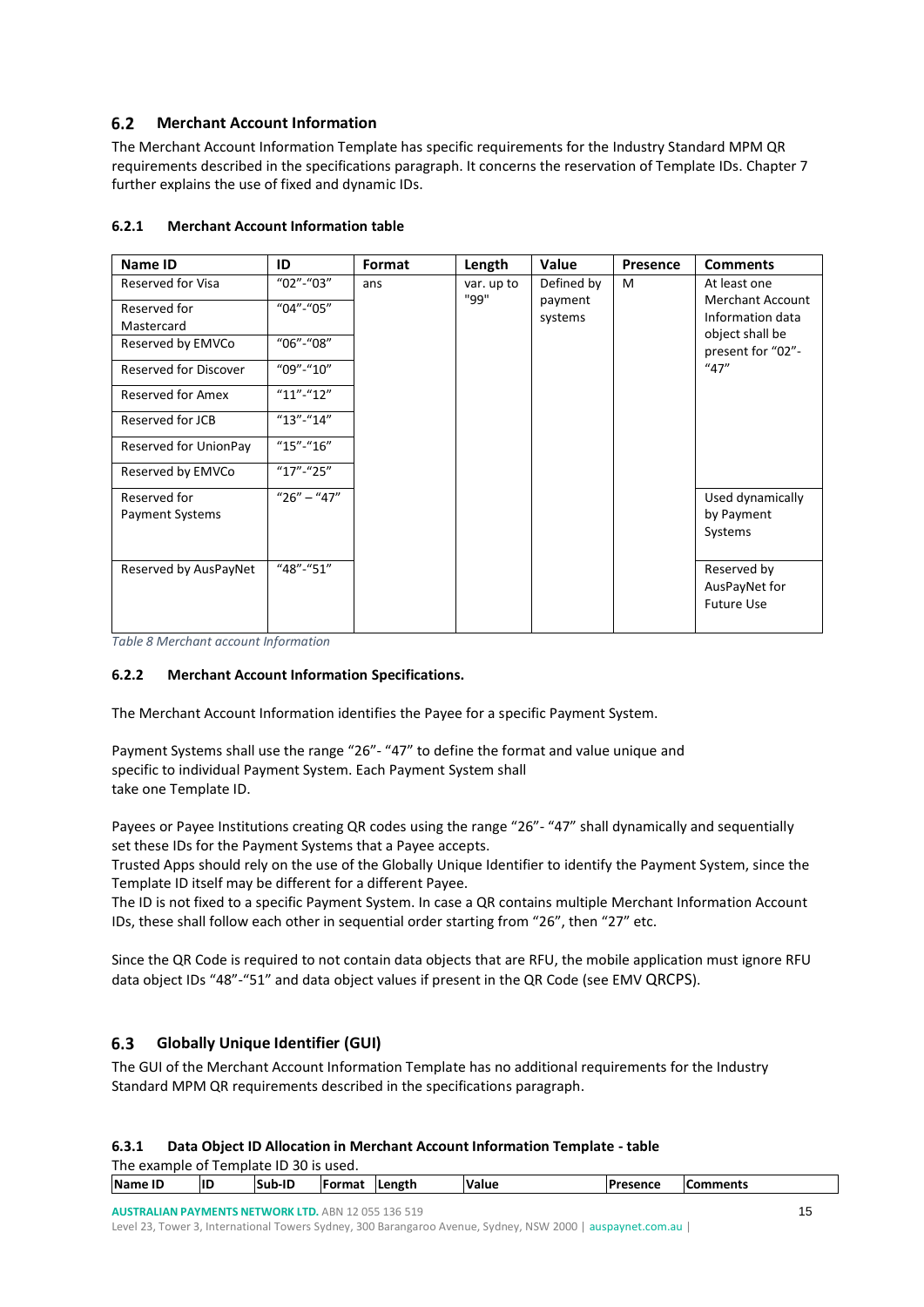#### <span id="page-14-0"></span> $6.2$ **Merchant Account Information**

The Merchant Account Information Template has specific requirements for the Industry Standard MPM QR requirements described in the specifications paragraph. It concerns the reservation of Template IDs. Chapter 7 further explains the use of fixed and dynamic IDs.

| Name ID                                | ID            | Format | Length     | Value              | <b>Presence</b> | <b>Comments</b>                                                |
|----------------------------------------|---------------|--------|------------|--------------------|-----------------|----------------------------------------------------------------|
| <b>Reserved for Visa</b>               | "02"-"03"     | ans    | var. up to | Defined by         | M               | At least one                                                   |
| Reserved for<br>Mastercard             | "04"-"05"     |        | "99"       | payment<br>systems |                 | <b>Merchant Account</b><br>Information data<br>object shall be |
| Reserved by EMVCo                      | "06"-"08"     |        |            |                    |                 | present for "02"-                                              |
| Reserved for Discover                  | $"09"$ -"10"  |        |            |                    |                 | ''47''                                                         |
| <b>Reserved for Amex</b>               | $"11"$ -"12"  |        |            |                    |                 |                                                                |
| Reserved for JCB                       | $"13" - "14"$ |        |            |                    |                 |                                                                |
| Reserved for UnionPay                  | $"15" - "16"$ |        |            |                    |                 |                                                                |
| Reserved by EMVCo                      | $"17" - "25"$ |        |            |                    |                 |                                                                |
| Reserved for<br><b>Payment Systems</b> | $"26" - "47"$ |        |            |                    |                 | Used dynamically<br>by Payment<br>Systems                      |
| Reserved by AusPayNet                  | "48"-"51"     |        |            |                    |                 | Reserved by<br>AusPayNet for<br><b>Future Use</b>              |

### <span id="page-14-1"></span>**6.2.1 Merchant Account Information table**

<span id="page-14-5"></span>*Table 8 Merchant account Information*

### <span id="page-14-2"></span>**6.2.2 Merchant Account Information Specifications.**

The Merchant Account Information identifies the Payee for a specific Payment System.

Payment Systems shall use the range "26"- "47" to define the format and value unique and specific to individual Payment System. Each Payment System shall take one Template ID.

Payees or Payee Institutions creating QR codes using the range "26"- "47" shall dynamically and sequentially set these IDs for the Payment Systems that a Payee accepts.

Trusted Apps should rely on the use of the Globally Unique Identifier to identify the Payment System, since the Template ID itself may be different for a different Payee.

The ID is not fixed to a specific Payment System. In case a QR contains multiple Merchant Information Account IDs, these shall follow each other in sequential order starting from "26", then "27" etc.

Since the QR Code is required to not contain data objects that are RFU, the mobile application must ignore RFU data object IDs "48"-"51" and data object values if present in the QR Code (see EMV QRCPS).

#### <span id="page-14-3"></span> $6.3$ **Globally Unique Identifier (GUI)**

The GUI of the Merchant Account Information Template has no additional requirements for the Industry Standard MPM QR requirements described in the specifications paragraph.

<span id="page-14-4"></span>

| Data Object ID Allocation in Merchant Account Information Template - table<br>6.3.1 |  |
|-------------------------------------------------------------------------------------|--|
|-------------------------------------------------------------------------------------|--|

| The example of<br>S0 is used.<br><sup>:</sup> Template ID    |  |  |  |  |  |                 |          |  |  |  |  |
|--------------------------------------------------------------|--|--|--|--|--|-----------------|----------|--|--|--|--|
| Name ID<br>ШD<br>Sub-ID<br>Length<br>Value<br><b>IFormat</b> |  |  |  |  |  | <b>Presence</b> | Comments |  |  |  |  |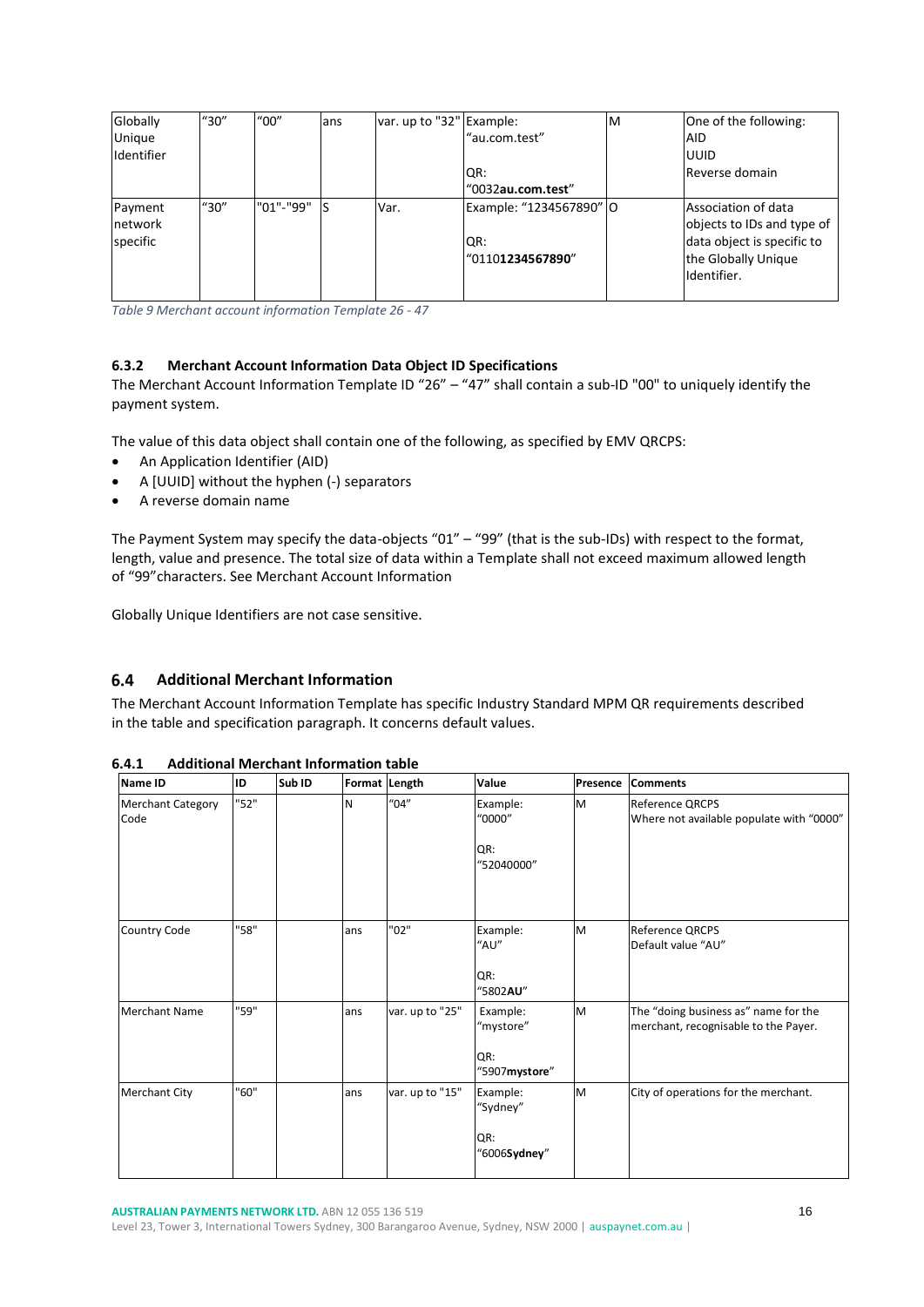| Globally   | "30"   | $^{\prime\prime}00^{\prime\prime}$ | ans | var. up to "32" Example: |                         | ΙM | One of the following:      |
|------------|--------|------------------------------------|-----|--------------------------|-------------------------|----|----------------------------|
| Unique     |        |                                    |     |                          | "au.com.test"           |    | <b>AID</b>                 |
| Identifier |        |                                    |     |                          |                         |    | <b>IUUID</b>               |
|            |        |                                    |     |                          | IQR:                    |    | Reverse domain             |
|            |        |                                    |     |                          | "0032au.com.test"       |    |                            |
| Payment    | ''30'' | "01"-"99"                          |     | Var.                     | Example: "1234567890" O |    | Association of data        |
| network    |        |                                    |     |                          |                         |    | objects to IDs and type of |
| specific   |        |                                    |     |                          | QR:                     |    | data object is specific to |
|            |        |                                    |     |                          | "01101234567890"        |    | the Globally Unique        |
|            |        |                                    |     |                          |                         |    | Identifier.                |
|            |        |                                    |     |                          |                         |    |                            |

<span id="page-15-3"></span>*Table 9 Merchant account information Template 26 - 47*

### <span id="page-15-0"></span>**6.3.2 Merchant Account Information Data Object ID Specifications**

The Merchant Account Information Template ID "26" – "47" shall contain a sub-ID "00" to uniquely identify the payment system.

The value of this data object shall contain one of the following, as specified by EMV QRCPS:

- An Application Identifier (AID)
- A [UUID] without the hyphen (-) separators
- A reverse domain name

The Payment System may specify the data-objects "01" – "99" (that is the sub-IDs) with respect to the format, length, value and presence. The total size of data within a Template shall not exceed maximum allowed length of "99"characters. See [Merchant Account Information](#page-14-0)

Globally Unique Identifiers are not case sensitive.

#### <span id="page-15-1"></span> $6.4$ **Additional Merchant Information**

The Merchant Account Information Template has specific Industry Standard MPM QR requirements described in the table and specification paragraph. It concerns default values.

| <b>Name ID</b>                   | ID   | Sub <sub>ID</sub> |     | Format Length   | Value                                         | Presence | <b>Comments</b>                                                              |
|----------------------------------|------|-------------------|-----|-----------------|-----------------------------------------------|----------|------------------------------------------------------------------------------|
| <b>Merchant Category</b><br>Code | "52" |                   | N   | "04"            | Example:<br>"0000"<br>QR:<br>"52040000"       | M        | <b>Reference QRCPS</b><br>Where not available populate with "0000"           |
| Country Code                     | "58" |                   | ans | "02"            | Example:<br>"AU"<br>QR:<br>"5802AU"           | M        | Reference QRCPS<br>Default value "AU"                                        |
| <b>Merchant Name</b>             | "59" |                   | ans | var. up to "25" | Example:<br>"mystore"<br>QR:<br>"5907mystore" | M        | The "doing business as" name for the<br>merchant, recognisable to the Payer. |
| <b>Merchant City</b>             | "60" |                   | ans | var. up to "15" | Example:<br>"Sydney"<br>QR:<br>"6006Sydney"   | M        | City of operations for the merchant.                                         |

<span id="page-15-2"></span>**6.4.1 Additional Merchant Information table**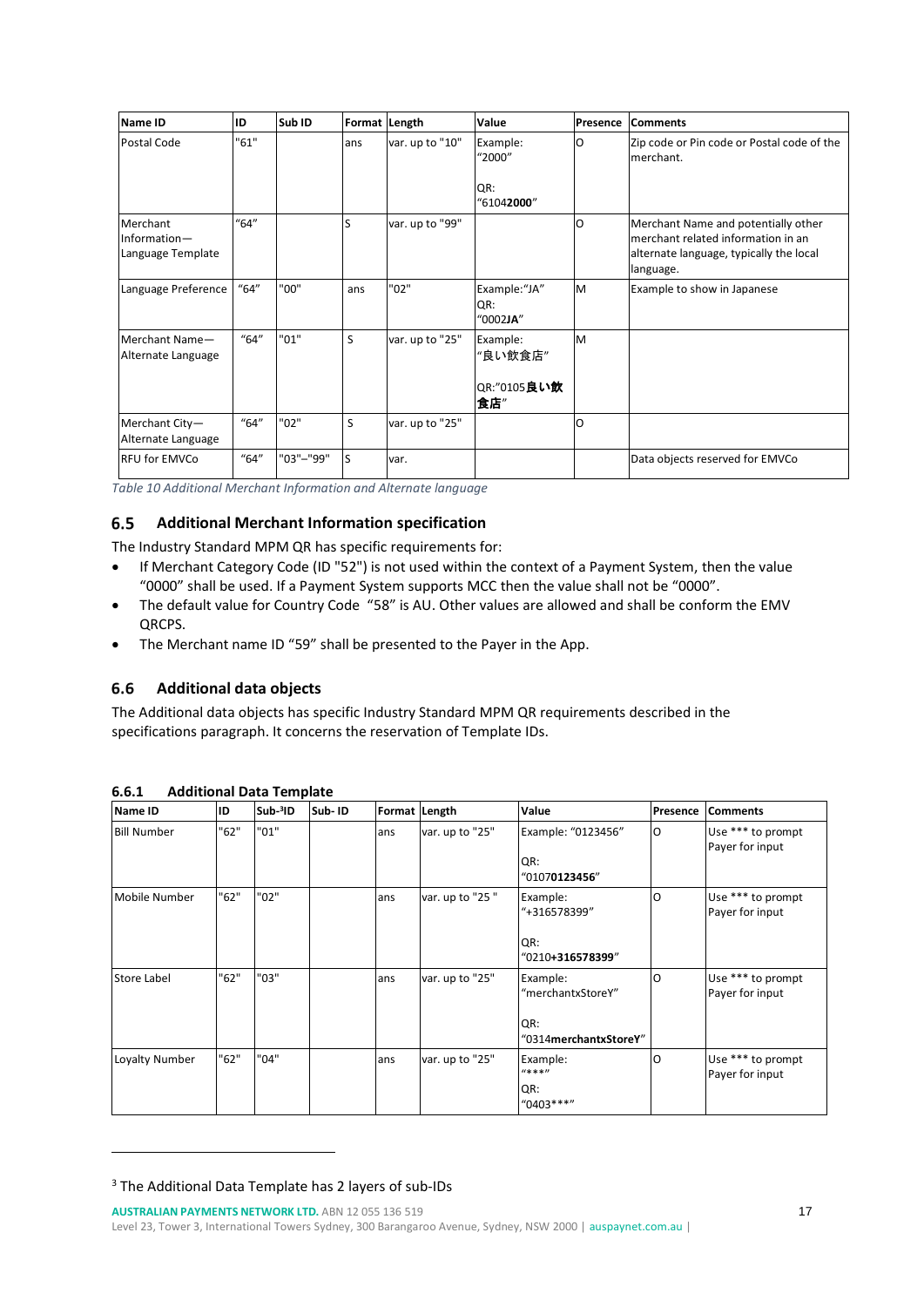| Name ID                                       | ID   | Sub ID    | Format Length |                 | Value                              | Presence | <b>Comments</b>                                                                                                                   |
|-----------------------------------------------|------|-----------|---------------|-----------------|------------------------------------|----------|-----------------------------------------------------------------------------------------------------------------------------------|
| Postal Code                                   | "61" |           | ans           | var. up to "10" | Example:<br>"2000"<br>QR:          | O        | Zip code or Pin code or Postal code of the<br>merchant.                                                                           |
|                                               |      |           |               |                 | "61042000"                         |          |                                                                                                                                   |
| Merchant<br>Information-<br>Language Template | "64" |           | S             | var. up to "99" |                                    | $\Omega$ | Merchant Name and potentially other<br>merchant related information in an<br>alternate language, typically the local<br>language. |
| Language Preference                           | "64" | "00"      | ans           | "02"            | Example:"JA"<br>QR:<br>"0002JA"    | M        | Example to show in Japanese                                                                                                       |
| Merchant Name-<br>Alternate Language          | "64" | "01"      | S             | var. up to "25" | Example:<br>"良い飲食店"<br>QR:"0105良い飲 | M        |                                                                                                                                   |
|                                               |      |           |               |                 | 食店"                                |          |                                                                                                                                   |
| Merchant City-<br>Alternate Language          | "64" | "02"      | S             | var. up to "25" |                                    | $\Omega$ |                                                                                                                                   |
| <b>RFU for EMVCo</b>                          | "64" | "03"-"99" | S             | var.            |                                    |          | Data objects reserved for EMVCo                                                                                                   |

<span id="page-16-3"></span>*Table 10 Additional Merchant Information and Alternate language*

#### <span id="page-16-0"></span> $6.5$ **Additional Merchant Information specification**

The Industry Standard MPM QR has specific requirements for:

- If Merchant Category Code (ID "52") is not used within the context of a Payment System, then the value "0000" shall be used. If a Payment System supports MCC then the value shall not be "0000".
- The default value for Country Code "58" is AU. Other values are allowed and shall be conform the EMV QRCPS.
- The Merchant name ID "59" shall be presented to the Payer in the App.

#### <span id="page-16-1"></span> $6.6$ **Additional data objects**

The Additional data objects has specific Industry Standard MPM QR requirements described in the specifications paragraph. It concerns the reservation of Template IDs.

| Name ID            | ID   | Sub-3ID | Sub-ID | Format Length |                 | Value                                                         | Presence | <b>Comments</b>                      |
|--------------------|------|---------|--------|---------------|-----------------|---------------------------------------------------------------|----------|--------------------------------------|
| <b>Bill Number</b> | "62" | "01"    |        | ans           | var. up to "25" | Example: "0123456"<br>QR:<br>"01070123456"                    | O        | Use *** to prompt<br>Payer for input |
| Mobile Number      | "62" | "02"    |        | ans           | var. up to "25" | Example:<br>"+316578399"<br>QR:<br>"0210+316578399"           | O        | Use *** to prompt<br>Payer for input |
| <b>Store Label</b> | "62" | "03"    |        | ans           | var. up to "25" | Example:<br>"merchantxStoreY"<br>QR:<br>"0314merchantxStoreY" | O        | Use *** to prompt<br>Payer for input |
| Loyalty Number     | "62" | "04"    |        | ans           | var. up to "25" | Example:<br>$11*111$<br>QR:<br>$"0403***"$                    | O        | Use *** to prompt<br>Payer for input |

### <span id="page-16-2"></span>**6.6.1 Additional Data Template**

**AUSTRALIAN PAYMENTS NETWORK LTD.** ABN 12 055 136 519

Level 23, Tower 3, International Towers Sydney, 300 Barangaroo Avenue, Sydney, NSW 2000 | [auspaynet.com.au](http://www.auspaynet.com.au/) |

<sup>3</sup> The Additional Data Template has 2 layers of sub-IDs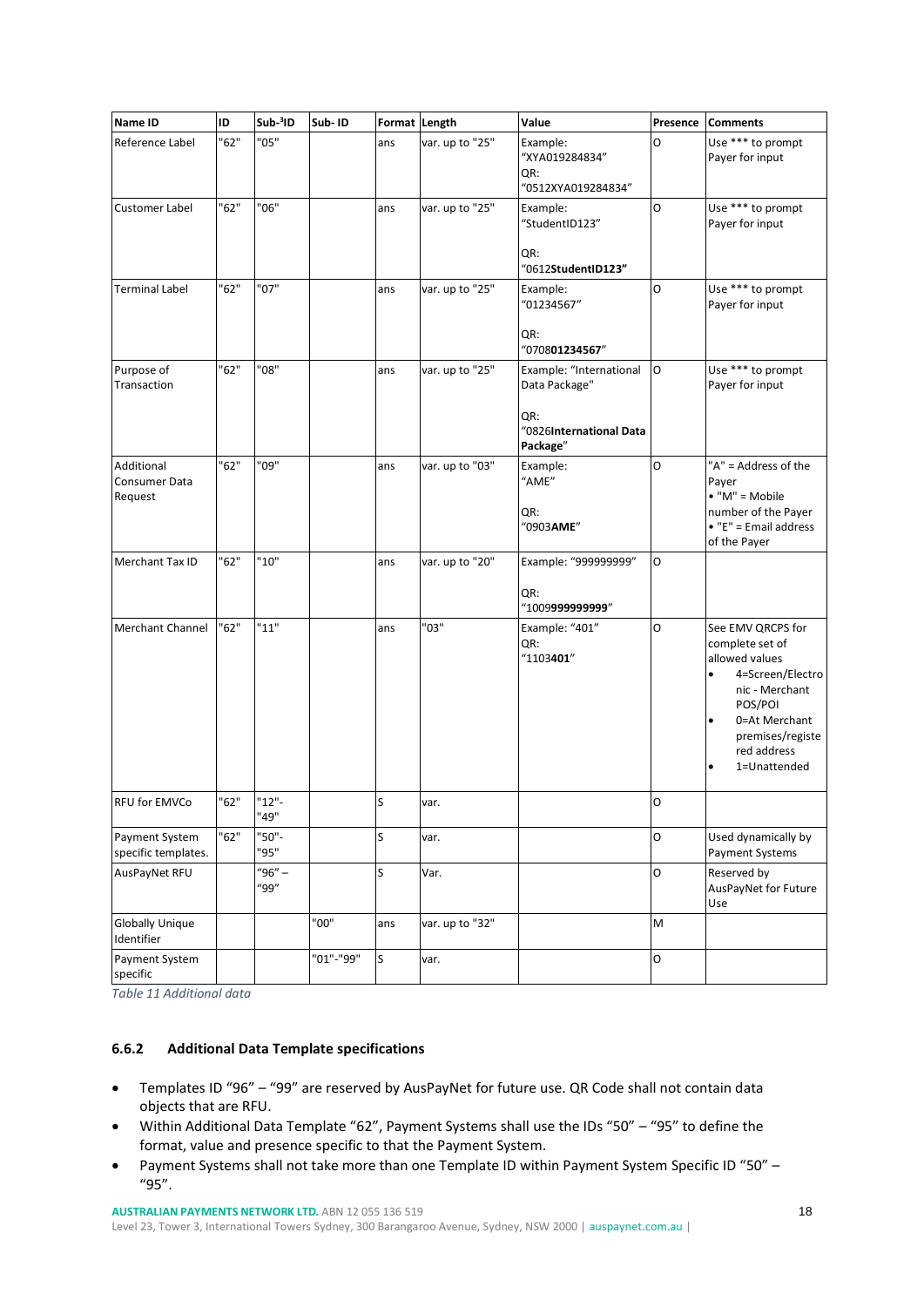| <b>Name ID</b>                         | ID   | Sub <sup>3</sup> ID | Sub-ID    |     | Format Length   | Value                                                                                  | Presence | <b>Comments</b>                                                                                                                                                                                       |
|----------------------------------------|------|---------------------|-----------|-----|-----------------|----------------------------------------------------------------------------------------|----------|-------------------------------------------------------------------------------------------------------------------------------------------------------------------------------------------------------|
| Reference Label                        | "62" | '05"                |           | ans | var. up to "25" | Example:<br>"XYA019284834"<br>QR:<br>"0512XYA019284834"                                | O        | Use *** to prompt<br>Payer for input                                                                                                                                                                  |
| Customer Label                         | "62" | "06"                |           | ans | var. up to "25" | Example:<br>"StudentID123"<br>QR:<br>"0612StudentID123"                                | O        | Use *** to prompt<br>Payer for input                                                                                                                                                                  |
| <b>Terminal Label</b>                  | "62" | "07"                |           | ans | var. up to "25" | Example:<br>"01234567"<br>QR:<br>"070801234567"                                        | O        | Use *** to prompt<br>Payer for input                                                                                                                                                                  |
| Purpose of<br>Transaction              | "62" | '08"                |           | ans | var. up to "25" | Example: "International<br>Data Package"<br>QR:<br>"0826International Data<br>Package" | l O      | Use *** to prompt<br>Payer for input                                                                                                                                                                  |
| Additional<br>Consumer Data<br>Request | '62" | '09"                |           | ans | var. up to "03" | Example:<br>"AME"<br>QR:<br>"0903AME"                                                  | O        | "A" = Address of the<br>Payer<br>$\bullet$ "M" = Mobile<br>number of the Payer<br>$\bullet$ "E" = Email address<br>of the Payer                                                                       |
| Merchant Tax ID                        | "62" | "10"                |           | ans | var. up to "20" | Example: "999999999"<br>QR:<br>"1009999999999"                                         | O        |                                                                                                                                                                                                       |
| <b>Merchant Channel</b>                | "62" | "11"                |           | ans | "03"            | Example: "401"<br>QR:<br>"1103401"                                                     | O        | See EMV QRCPS for<br>complete set of<br>allowed values<br>4=Screen/Electro<br>$\bullet$<br>nic - Merchant<br>POS/POI<br>0=At Merchant<br>$\bullet$<br>premises/registe<br>red address<br>1=Unattended |
| <b>RFU for EMVCo</b>                   | "62" | $"12"$ -<br>"49"    |           | S   | var.            |                                                                                        | lo       |                                                                                                                                                                                                       |
| Payment System<br>specific templates.  | "62" | '50"-<br>"95"       |           | S   | var.            |                                                                                        | 0        | Used dynamically by<br>Payment Systems                                                                                                                                                                |
| AusPayNet RFU                          |      | $"96" -$<br>"99"    |           | S   | Var.            |                                                                                        | 0        | Reserved by<br>AusPayNet for Future<br>Use                                                                                                                                                            |
| <b>Globally Unique</b><br>Identifier   |      |                     | "00"      | ans | var. up to "32" |                                                                                        | M        |                                                                                                                                                                                                       |
| Payment System<br>specific             |      |                     | "01"-"99" | s   | var.            |                                                                                        | 0        |                                                                                                                                                                                                       |

<span id="page-17-1"></span>*Table 11 Additional data*

### <span id="page-17-0"></span>**6.6.2 Additional Data Template specifications**

- Templates ID "96" "99" are reserved by AusPayNet for future use. QR Code shall not contain data objects that are RFU.
- Within Additional Data Template "62", Payment Systems shall use the IDs "50" "95" to define the format, value and presence specific to that the Payment System.
- Payment Systems shall not take more than one Template ID within Payment System Specific ID "50" "95".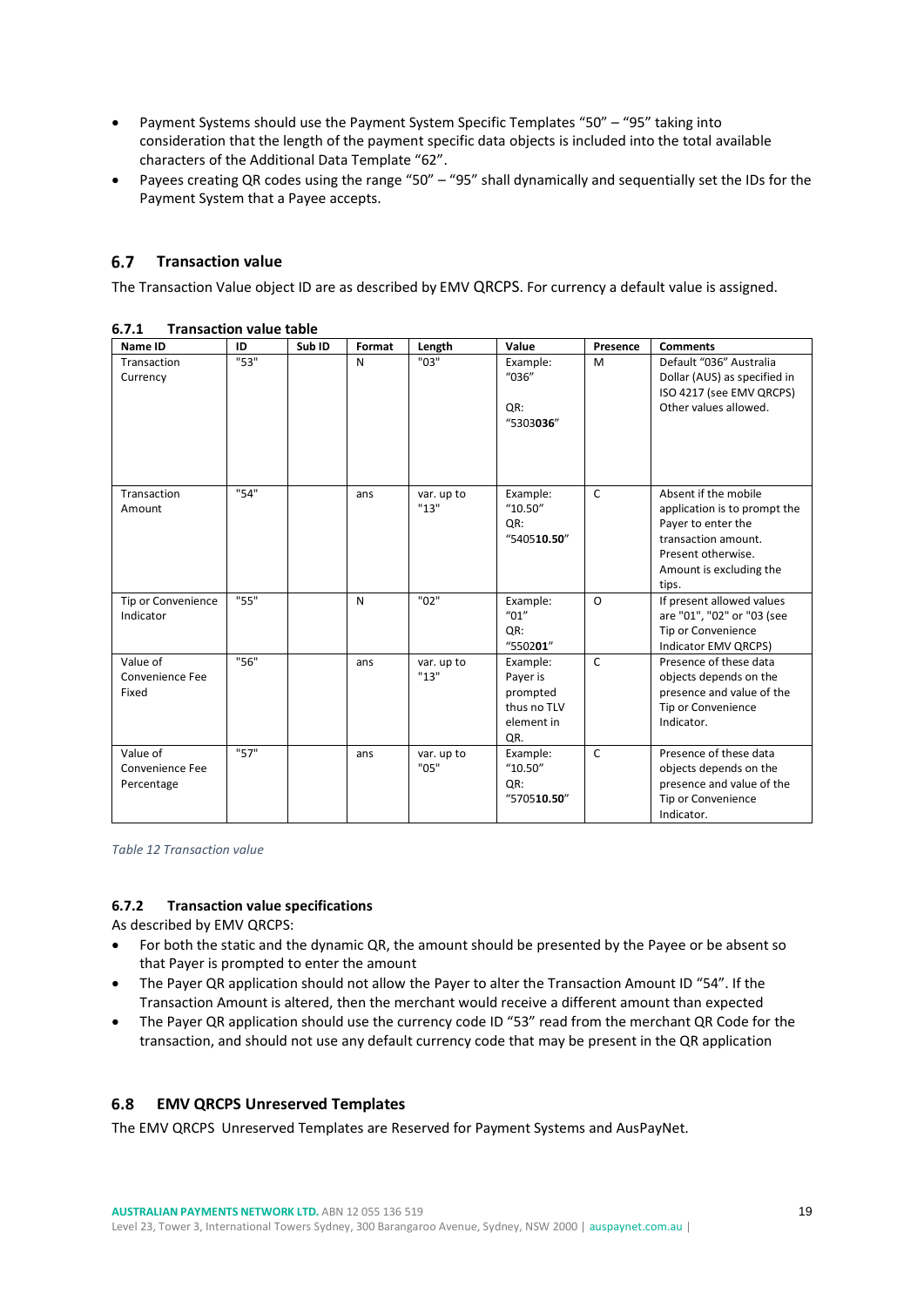- Payment Systems should use the Payment System Specific Templates "50" "95" taking into consideration that the length of the payment specific data objects is included into the total available characters of the Additional Data Template "62".
- Payees creating QR codes using the range "50" "95" shall dynamically and sequentially set the IDs for the Payment System that a Payee accepts.

#### <span id="page-18-0"></span> $6.7$ **Transaction value**

The Transaction Value object ID are as described by EMV QRCPS. For currency a default value is assigned.

| Name ID                                   | ID   | Sub ID | Format | Length             | Value                                                                | Presence     | <b>Comments</b>                                                                                                                                             |
|-------------------------------------------|------|--------|--------|--------------------|----------------------------------------------------------------------|--------------|-------------------------------------------------------------------------------------------------------------------------------------------------------------|
| Transaction<br>Currency                   | "53" |        | N      | "03"               | Example:<br>"036"<br>QR:<br>"5303036"                                | M            | Default "036" Australia<br>Dollar (AUS) as specified in<br>ISO 4217 (see EMV QRCPS)<br>Other values allowed.                                                |
| Transaction<br>Amount                     | "54" |        | ans    | var. up to<br>"13" | Example:<br>"10.50"<br>QR:<br>"540510.50"                            | $\mathsf{C}$ | Absent if the mobile<br>application is to prompt the<br>Payer to enter the<br>transaction amount.<br>Present otherwise.<br>Amount is excluding the<br>tips. |
| Tip or Convenience<br>Indicator           | "55" |        | N      | "02"               | Example:<br>$^{\prime\prime}$ 01"<br>QR:<br>"550201"                 | $\Omega$     | If present allowed values<br>are "01", "02" or "03 (see<br>Tip or Convenience<br>Indicator EMV QRCPS)                                                       |
| Value of<br>Convenience Fee<br>Fixed      | "56" |        | ans    | var. up to<br>"13" | Example:<br>Payer is<br>prompted<br>thus no TLV<br>element in<br>QR. | $\mathsf{C}$ | Presence of these data<br>objects depends on the<br>presence and value of the<br>Tip or Convenience<br>Indicator.                                           |
| Value of<br>Convenience Fee<br>Percentage | "57" |        | ans    | var. up to<br>"05" | Example:<br>"10.50"<br>QR:<br>"570510.50"                            | $\mathsf{C}$ | Presence of these data<br>objects depends on the<br>presence and value of the<br>Tip or Convenience<br>Indicator.                                           |

#### <span id="page-18-1"></span>**6.7.1 Transaction value table**

<span id="page-18-4"></span>*Table 12 Transaction value*

### <span id="page-18-2"></span>**6.7.2 Transaction value specifications**

As described by EMV QRCPS:

- For both the static and the dynamic QR, the amount should be presented by the Payee or be absent so that Payer is prompted to enter the amount
- The Payer QR application should not allow the Payer to alter the Transaction Amount ID "54". If the Transaction Amount is altered, then the merchant would receive a different amount than expected
- The Payer QR application should use the currency code ID "53" read from the merchant QR Code for the transaction, and should not use any default currency code that may be present in the QR application

#### <span id="page-18-3"></span> $6.8$ **EMV QRCPS Unreserved Templates**

The EMV QRCPS Unreserved Templates are Reserved for Payment Systems and AusPayNet.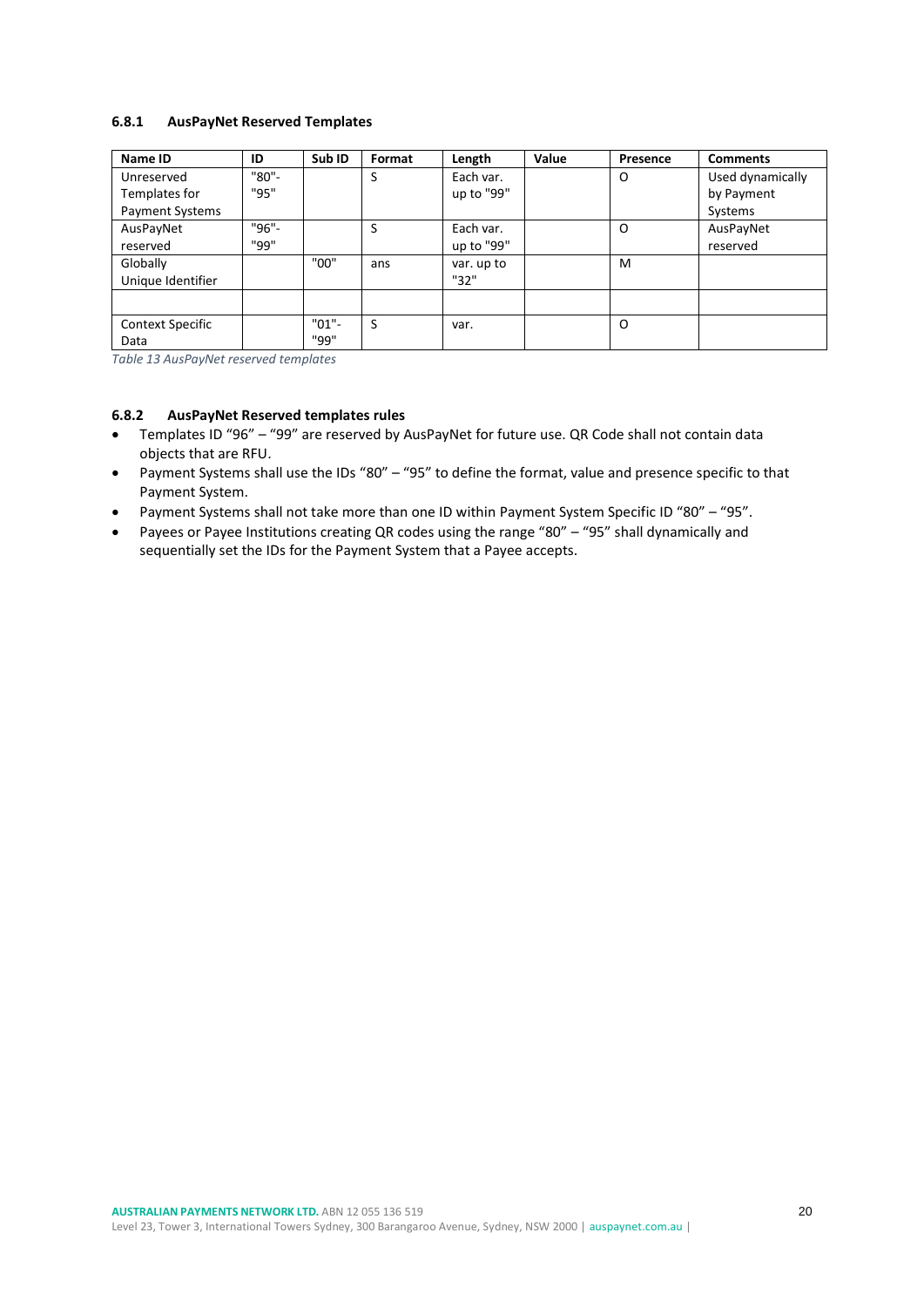### <span id="page-19-0"></span>**6.8.1 AusPayNet Reserved Templates**

| Name ID                 | ID    | Sub ID   | Format | Length     | Value | Presence | <b>Comments</b>  |
|-------------------------|-------|----------|--------|------------|-------|----------|------------------|
| Unreserved              | "80"- |          | S      | Each var.  |       | O        | Used dynamically |
| Templates for           | "95"  |          |        | up to "99" |       |          | by Payment       |
| <b>Payment Systems</b>  |       |          |        |            |       |          | Systems          |
| AusPayNet               | "96"- |          | S      | Each var.  |       | O        | AusPayNet        |
| reserved                | "99"  |          |        | up to "99" |       |          | reserved         |
| Globally                |       | "00"     | ans    | var. up to |       | M        |                  |
| Unique Identifier       |       |          |        | "32"       |       |          |                  |
|                         |       |          |        |            |       |          |                  |
| <b>Context Specific</b> |       | $"01"$ - | S      | var.       |       | O        |                  |
| Data                    |       | "99"     |        |            |       |          |                  |

<span id="page-19-2"></span>*Table 13 AusPayNet reserved templates*

#### <span id="page-19-1"></span>**6.8.2 AusPayNet Reserved templates rules**

- Templates ID "96" "99" are reserved by AusPayNet for future use. QR Code shall not contain data objects that are RFU.
- Payment Systems shall use the IDs "80" "95" to define the format, value and presence specific to that Payment System.
- Payment Systems shall not take more than one ID within Payment System Specific ID "80" "95".
- Payees or Payee Institutions creating QR codes using the range "80" "95" shall dynamically and sequentially set the IDs for the Payment System that a Payee accepts.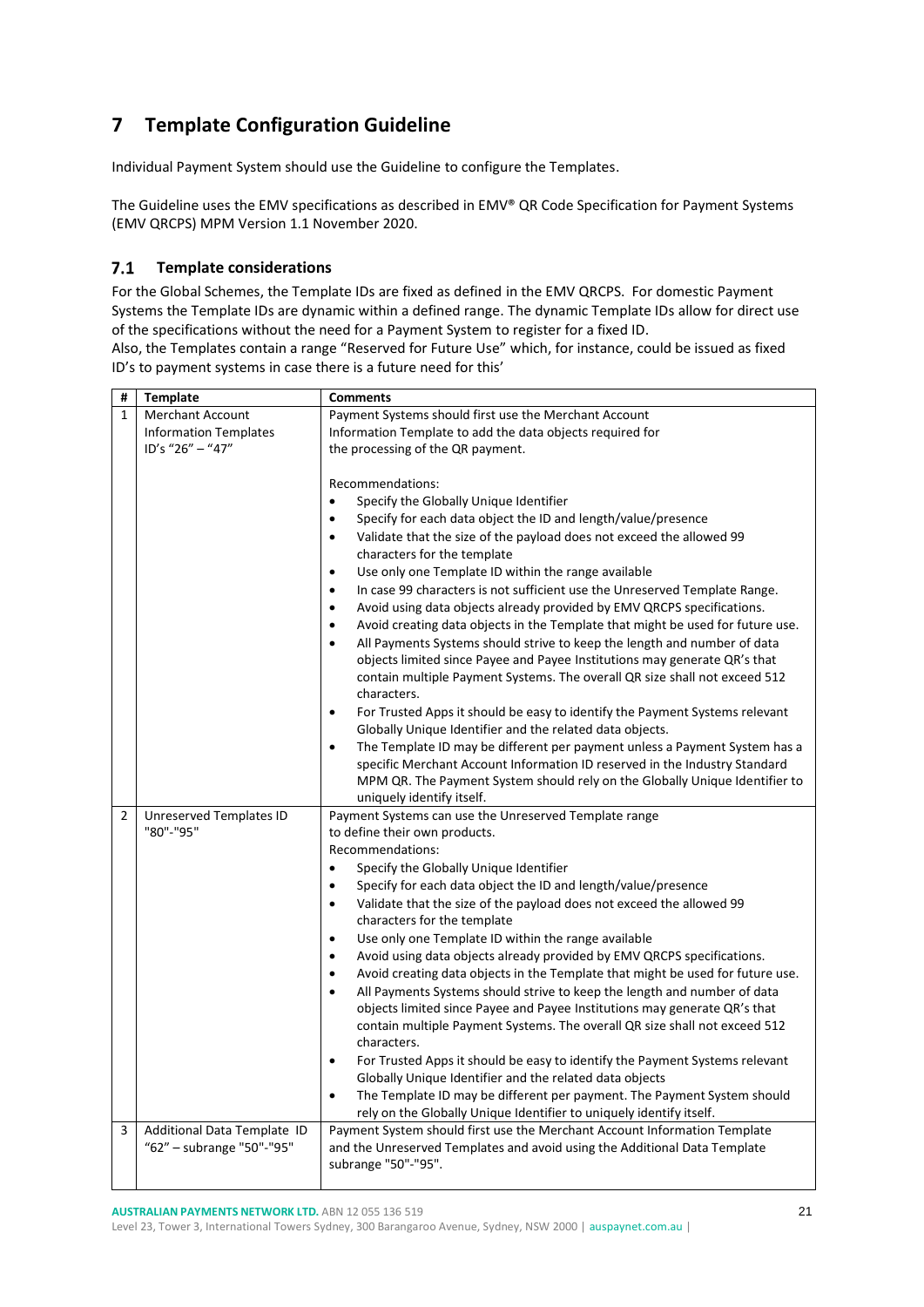# <span id="page-20-0"></span>**7 Template Configuration Guideline**

Individual Payment System should use the Guideline to configure the Templates.

The Guideline uses the EMV specifications as described in EMV® QR Code Specification for Payment Systems (EMV QRCPS) MPM Version 1.1 November 2020.

#### <span id="page-20-1"></span> $7.1$ **Template considerations**

For the Global Schemes, the Template IDs are fixed as defined in the EMV QRCPS. For domestic Payment Systems the Template IDs are dynamic within a defined range. The dynamic Template IDs allow for direct use of the specifications without the need for a Payment System to register for a fixed ID. Also, the Templates contain a range "Reserved for Future Use" which, for instance, could be issued as fixed

ID's to payment systems in case there is a future need for this'

| #            | <b>Template</b>                                          | <b>Comments</b>                                                                                                                                                                                                                                                                                                                                                                                                                                                                                                                                                                                                                                                                                                                                                                                      |
|--------------|----------------------------------------------------------|------------------------------------------------------------------------------------------------------------------------------------------------------------------------------------------------------------------------------------------------------------------------------------------------------------------------------------------------------------------------------------------------------------------------------------------------------------------------------------------------------------------------------------------------------------------------------------------------------------------------------------------------------------------------------------------------------------------------------------------------------------------------------------------------------|
| $\mathbf{1}$ | <b>Merchant Account</b>                                  | Payment Systems should first use the Merchant Account                                                                                                                                                                                                                                                                                                                                                                                                                                                                                                                                                                                                                                                                                                                                                |
|              | <b>Information Templates</b>                             | Information Template to add the data objects required for                                                                                                                                                                                                                                                                                                                                                                                                                                                                                                                                                                                                                                                                                                                                            |
|              | ID's "26" - "47"                                         | the processing of the QR payment.                                                                                                                                                                                                                                                                                                                                                                                                                                                                                                                                                                                                                                                                                                                                                                    |
|              |                                                          | Recommendations:<br>Specify the Globally Unique Identifier<br>$\bullet$<br>Specify for each data object the ID and length/value/presence<br>$\bullet$<br>Validate that the size of the payload does not exceed the allowed 99<br>$\bullet$<br>characters for the template<br>Use only one Template ID within the range available<br>$\bullet$<br>In case 99 characters is not sufficient use the Unreserved Template Range.<br>$\bullet$<br>Avoid using data objects already provided by EMV QRCPS specifications.<br>$\bullet$<br>Avoid creating data objects in the Template that might be used for future use.<br>$\bullet$<br>All Payments Systems should strive to keep the length and number of data<br>$\bullet$<br>objects limited since Payee and Payee Institutions may generate QR's that |
|              |                                                          | contain multiple Payment Systems. The overall QR size shall not exceed 512<br>characters.<br>For Trusted Apps it should be easy to identify the Payment Systems relevant<br>$\bullet$<br>Globally Unique Identifier and the related data objects.<br>The Template ID may be different per payment unless a Payment System has a<br>$\bullet$<br>specific Merchant Account Information ID reserved in the Industry Standard<br>MPM QR. The Payment System should rely on the Globally Unique Identifier to<br>uniquely identify itself.                                                                                                                                                                                                                                                               |
| 2            | Unreserved Templates ID                                  | Payment Systems can use the Unreserved Template range                                                                                                                                                                                                                                                                                                                                                                                                                                                                                                                                                                                                                                                                                                                                                |
|              | "80"-"95"                                                | to define their own products.                                                                                                                                                                                                                                                                                                                                                                                                                                                                                                                                                                                                                                                                                                                                                                        |
|              |                                                          | Recommendations:                                                                                                                                                                                                                                                                                                                                                                                                                                                                                                                                                                                                                                                                                                                                                                                     |
|              |                                                          | Specify the Globally Unique Identifier<br>$\bullet$                                                                                                                                                                                                                                                                                                                                                                                                                                                                                                                                                                                                                                                                                                                                                  |
|              |                                                          | Specify for each data object the ID and length/value/presence<br>$\bullet$                                                                                                                                                                                                                                                                                                                                                                                                                                                                                                                                                                                                                                                                                                                           |
|              |                                                          | Validate that the size of the payload does not exceed the allowed 99<br>$\bullet$                                                                                                                                                                                                                                                                                                                                                                                                                                                                                                                                                                                                                                                                                                                    |
|              |                                                          | characters for the template                                                                                                                                                                                                                                                                                                                                                                                                                                                                                                                                                                                                                                                                                                                                                                          |
|              |                                                          | Use only one Template ID within the range available<br>$\bullet$                                                                                                                                                                                                                                                                                                                                                                                                                                                                                                                                                                                                                                                                                                                                     |
|              |                                                          | Avoid using data objects already provided by EMV QRCPS specifications.<br>$\bullet$                                                                                                                                                                                                                                                                                                                                                                                                                                                                                                                                                                                                                                                                                                                  |
|              |                                                          | Avoid creating data objects in the Template that might be used for future use.<br>$\bullet$                                                                                                                                                                                                                                                                                                                                                                                                                                                                                                                                                                                                                                                                                                          |
|              |                                                          | All Payments Systems should strive to keep the length and number of data<br>$\bullet$<br>objects limited since Payee and Payee Institutions may generate QR's that<br>contain multiple Payment Systems. The overall QR size shall not exceed 512<br>characters.                                                                                                                                                                                                                                                                                                                                                                                                                                                                                                                                      |
|              |                                                          | For Trusted Apps it should be easy to identify the Payment Systems relevant<br>$\bullet$<br>Globally Unique Identifier and the related data objects                                                                                                                                                                                                                                                                                                                                                                                                                                                                                                                                                                                                                                                  |
|              |                                                          | The Template ID may be different per payment. The Payment System should<br>$\bullet$<br>rely on the Globally Unique Identifier to uniquely identify itself.                                                                                                                                                                                                                                                                                                                                                                                                                                                                                                                                                                                                                                          |
| 3            | Additional Data Template ID<br>"62" - subrange "50"-"95" | Payment System should first use the Merchant Account Information Template<br>and the Unreserved Templates and avoid using the Additional Data Template<br>subrange "50"-"95".                                                                                                                                                                                                                                                                                                                                                                                                                                                                                                                                                                                                                        |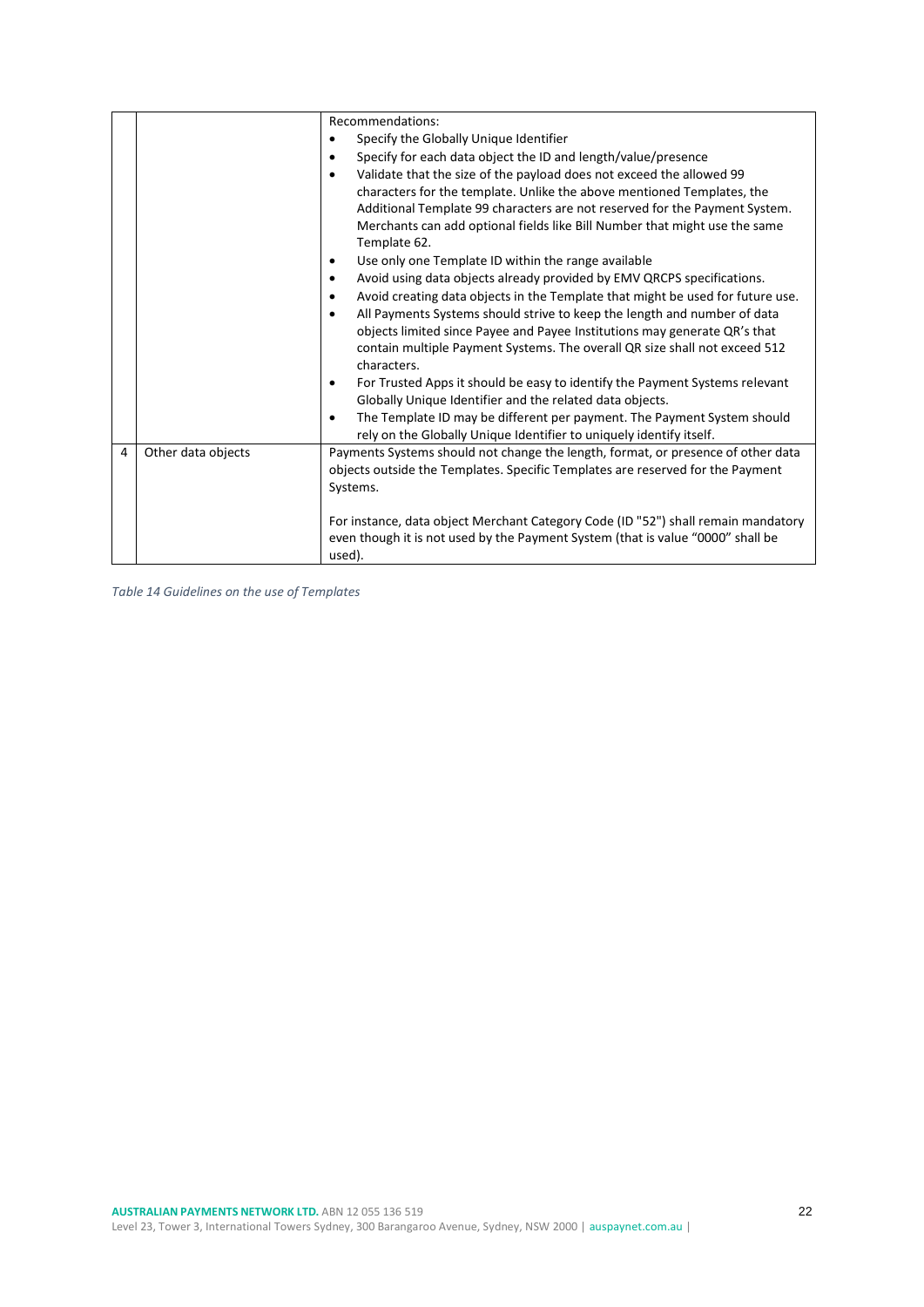|   |                    | Recommendations:                                                                                                                                    |
|---|--------------------|-----------------------------------------------------------------------------------------------------------------------------------------------------|
|   |                    | Specify the Globally Unique Identifier<br>$\bullet$                                                                                                 |
|   |                    | Specify for each data object the ID and length/value/presence<br>$\bullet$                                                                          |
|   |                    | Validate that the size of the payload does not exceed the allowed 99<br>٠                                                                           |
|   |                    | characters for the template. Unlike the above mentioned Templates, the                                                                              |
|   |                    | Additional Template 99 characters are not reserved for the Payment System.                                                                          |
|   |                    | Merchants can add optional fields like Bill Number that might use the same<br>Template 62.                                                          |
|   |                    | Use only one Template ID within the range available<br>$\bullet$                                                                                    |
|   |                    | Avoid using data objects already provided by EMV QRCPS specifications.<br>٠                                                                         |
|   |                    | Avoid creating data objects in the Template that might be used for future use.<br>٠                                                                 |
|   |                    | All Payments Systems should strive to keep the length and number of data<br>٠                                                                       |
|   |                    | objects limited since Payee and Payee Institutions may generate QR's that                                                                           |
|   |                    | contain multiple Payment Systems. The overall QR size shall not exceed 512<br>characters.                                                           |
|   |                    | For Trusted Apps it should be easy to identify the Payment Systems relevant<br>$\bullet$                                                            |
|   |                    | Globally Unique Identifier and the related data objects.                                                                                            |
|   |                    | The Template ID may be different per payment. The Payment System should<br>٠<br>rely on the Globally Unique Identifier to uniquely identify itself. |
| 4 | Other data objects | Payments Systems should not change the length, format, or presence of other data                                                                    |
|   |                    | objects outside the Templates. Specific Templates are reserved for the Payment                                                                      |
|   |                    | Systems.                                                                                                                                            |
|   |                    |                                                                                                                                                     |
|   |                    | For instance, data object Merchant Category Code (ID "52") shall remain mandatory                                                                   |
|   |                    | even though it is not used by the Payment System (that is value "0000" shall be                                                                     |
|   |                    | used).                                                                                                                                              |

<span id="page-21-0"></span>*Table 14 Guidelines on the use of Templates*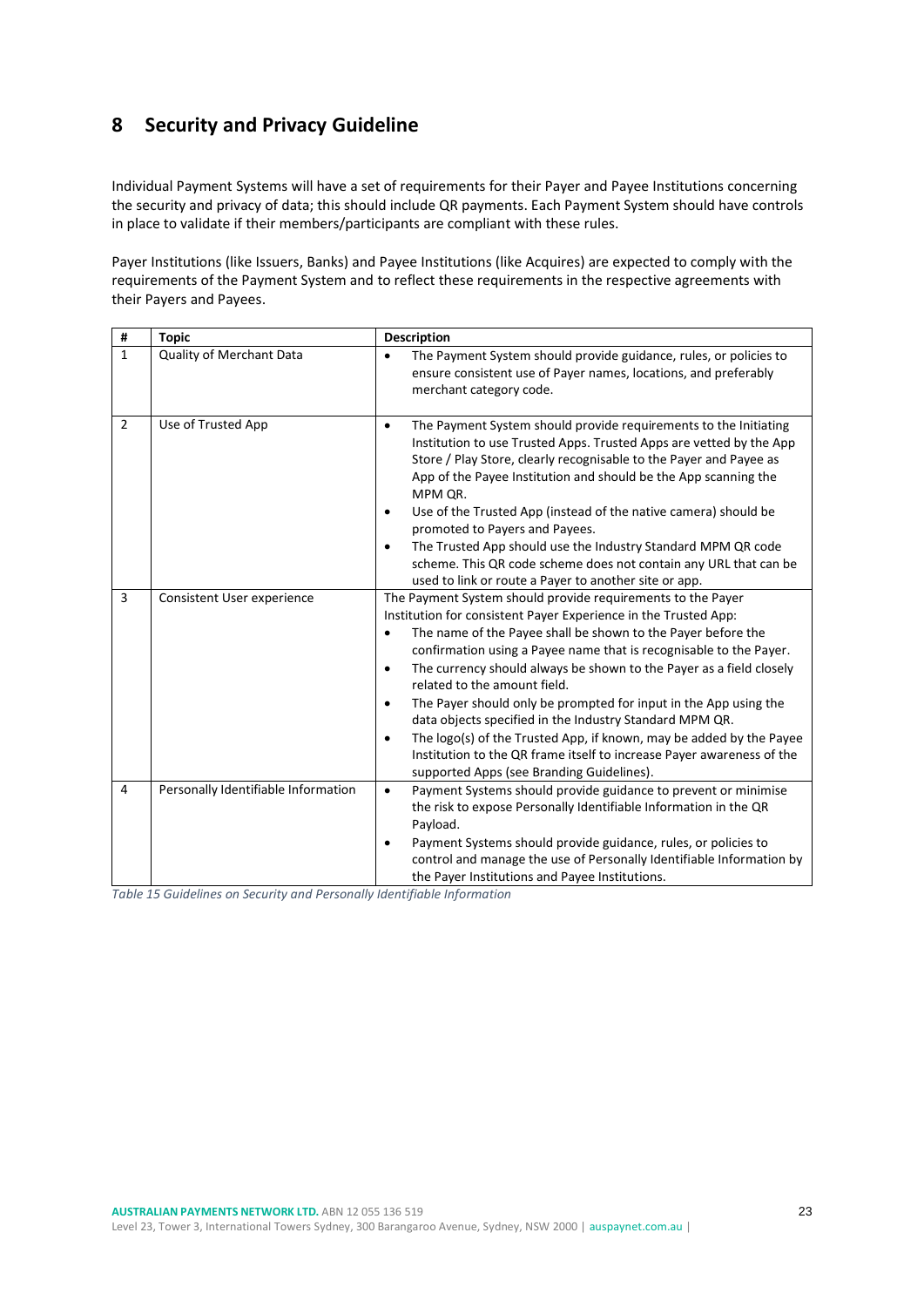# <span id="page-22-0"></span>**8 Security and Privacy Guideline**

Individual Payment Systems will have a set of requirements for their Payer and Payee Institutions concerning the security and privacy of data; this should include QR payments. Each Payment System should have controls in place to validate if their members/participants are compliant with these rules.

Payer Institutions (like Issuers, Banks) and Payee Institutions (like Acquires) are expected to comply with the requirements of the Payment System and to reflect these requirements in the respective agreements with their Payers and Payees.

| #              | <b>Topic</b>                        | <b>Description</b>                                                                                                                                                                                                                                                                                                                                                                                                                                                                                                                                                                                                                                                                                                                                          |
|----------------|-------------------------------------|-------------------------------------------------------------------------------------------------------------------------------------------------------------------------------------------------------------------------------------------------------------------------------------------------------------------------------------------------------------------------------------------------------------------------------------------------------------------------------------------------------------------------------------------------------------------------------------------------------------------------------------------------------------------------------------------------------------------------------------------------------------|
| $\mathbf{1}$   | Quality of Merchant Data            | The Payment System should provide guidance, rules, or policies to<br>$\bullet$<br>ensure consistent use of Payer names, locations, and preferably<br>merchant category code.                                                                                                                                                                                                                                                                                                                                                                                                                                                                                                                                                                                |
| $\overline{2}$ | Use of Trusted App                  | The Payment System should provide requirements to the Initiating<br>$\bullet$<br>Institution to use Trusted Apps. Trusted Apps are vetted by the App<br>Store / Play Store, clearly recognisable to the Payer and Payee as<br>App of the Payee Institution and should be the App scanning the<br>MPM QR.<br>Use of the Trusted App (instead of the native camera) should be<br>$\bullet$<br>promoted to Payers and Payees.<br>The Trusted App should use the Industry Standard MPM QR code<br>$\bullet$<br>scheme. This QR code scheme does not contain any URL that can be<br>used to link or route a Payer to another site or app.                                                                                                                        |
| 3              | Consistent User experience          | The Payment System should provide requirements to the Payer<br>Institution for consistent Payer Experience in the Trusted App:<br>The name of the Payee shall be shown to the Payer before the<br>$\bullet$<br>confirmation using a Payee name that is recognisable to the Payer.<br>The currency should always be shown to the Payer as a field closely<br>$\bullet$<br>related to the amount field.<br>The Payer should only be prompted for input in the App using the<br>$\bullet$<br>data objects specified in the Industry Standard MPM QR.<br>The logo(s) of the Trusted App, if known, may be added by the Payee<br>$\bullet$<br>Institution to the QR frame itself to increase Payer awareness of the<br>supported Apps (see Branding Guidelines). |
| 4              | Personally Identifiable Information | Payment Systems should provide guidance to prevent or minimise<br>$\bullet$<br>the risk to expose Personally Identifiable Information in the QR<br>Payload.<br>Payment Systems should provide guidance, rules, or policies to<br>$\bullet$<br>control and manage the use of Personally Identifiable Information by<br>the Payer Institutions and Payee Institutions.                                                                                                                                                                                                                                                                                                                                                                                        |

<span id="page-22-1"></span>*Table 15 Guidelines on Security and Personally Identifiable Information*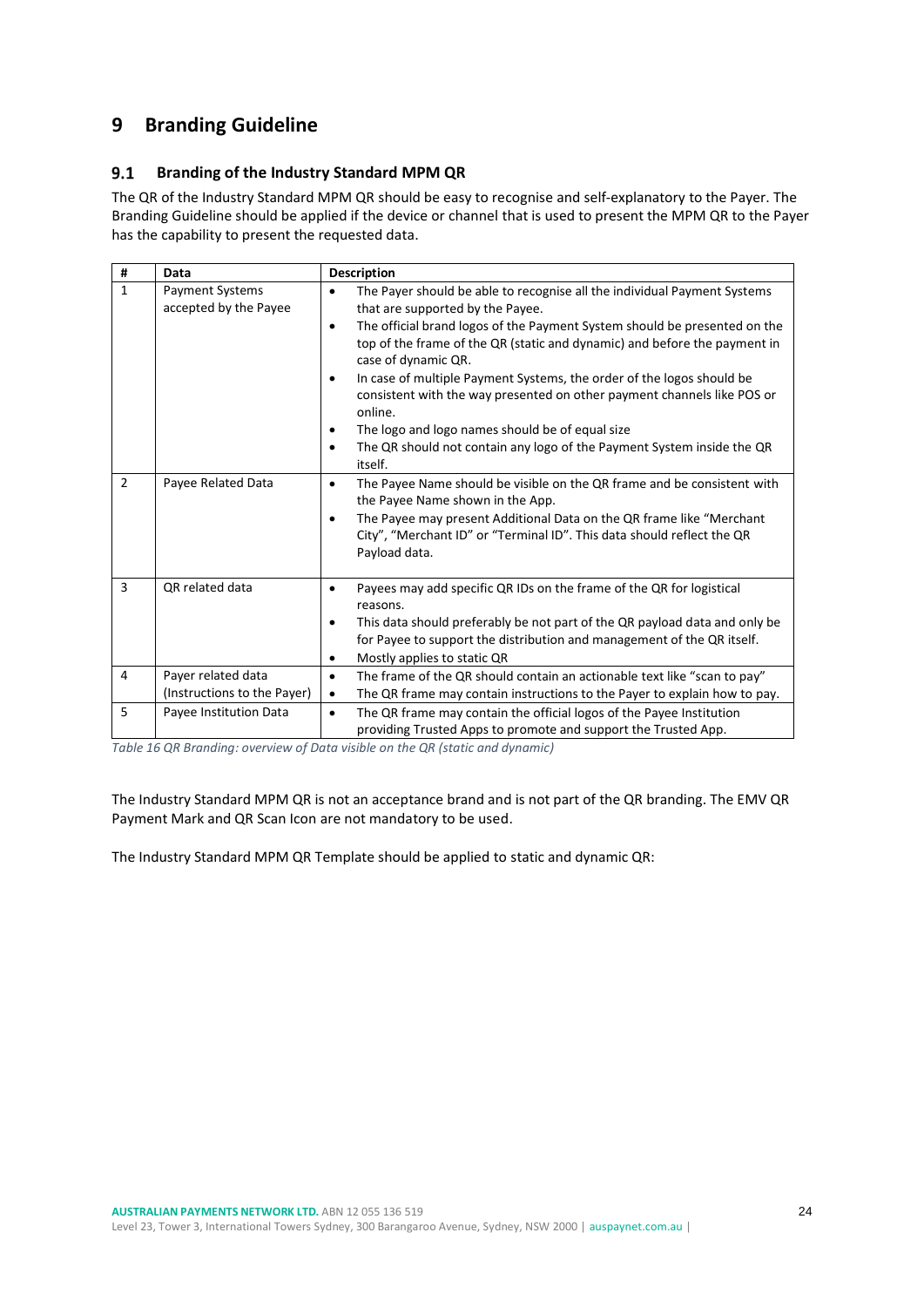# <span id="page-23-0"></span>**9 Branding Guideline**

#### <span id="page-23-1"></span> $9.1$ **Branding of the Industry Standard MPM QR**

The QR of the Industry Standard MPM QR should be easy to recognise and self-explanatory to the Payer. The Branding Guideline should be applied if the device or channel that is used to present the MPM QR to the Payer has the capability to present the requested data.

| #            | Data                                     | <b>Description</b>                                                                                                                                                                                                                                                                                                                                                                                                                                                                                                                                                                                                                    |
|--------------|------------------------------------------|---------------------------------------------------------------------------------------------------------------------------------------------------------------------------------------------------------------------------------------------------------------------------------------------------------------------------------------------------------------------------------------------------------------------------------------------------------------------------------------------------------------------------------------------------------------------------------------------------------------------------------------|
| $\mathbf{1}$ | Payment Systems<br>accepted by the Payee | The Payer should be able to recognise all the individual Payment Systems<br>$\bullet$<br>that are supported by the Payee.<br>The official brand logos of the Payment System should be presented on the<br>٠<br>top of the frame of the QR (static and dynamic) and before the payment in<br>case of dynamic QR.<br>In case of multiple Payment Systems, the order of the logos should be<br>٠<br>consistent with the way presented on other payment channels like POS or<br>online.<br>The logo and logo names should be of equal size<br>٠<br>The QR should not contain any logo of the Payment System inside the QR<br>٠<br>itself. |
| 2            | Payee Related Data                       | The Payee Name should be visible on the QR frame and be consistent with<br>$\bullet$<br>the Payee Name shown in the App.<br>The Payee may present Additional Data on the QR frame like "Merchant<br>٠<br>City", "Merchant ID" or "Terminal ID". This data should reflect the QR<br>Payload data.                                                                                                                                                                                                                                                                                                                                      |
| 3            | OR related data                          | Payees may add specific QR IDs on the frame of the QR for logistical<br>$\bullet$<br>reasons.<br>This data should preferably be not part of the QR payload data and only be<br>$\bullet$<br>for Payee to support the distribution and management of the QR itself.<br>Mostly applies to static QR<br>٠                                                                                                                                                                                                                                                                                                                                |
| 4            | Payer related data                       | The frame of the QR should contain an actionable text like "scan to pay"<br>$\bullet$                                                                                                                                                                                                                                                                                                                                                                                                                                                                                                                                                 |
|              | (Instructions to the Payer)              | The QR frame may contain instructions to the Payer to explain how to pay.<br>$\bullet$                                                                                                                                                                                                                                                                                                                                                                                                                                                                                                                                                |
| 5            | Payee Institution Data                   | The QR frame may contain the official logos of the Payee Institution<br>$\bullet$<br>providing Trusted Apps to promote and support the Trusted App.                                                                                                                                                                                                                                                                                                                                                                                                                                                                                   |

<span id="page-23-2"></span>*Table 16 QR Branding: overview of Data visible on the QR (static and dynamic)*

The Industry Standard MPM QR is not an acceptance brand and is not part of the QR branding. The EMV QR Payment Mark and QR Scan Icon are not mandatory to be used.

The Industry Standard MPM QR Template should be applied to static and dynamic QR: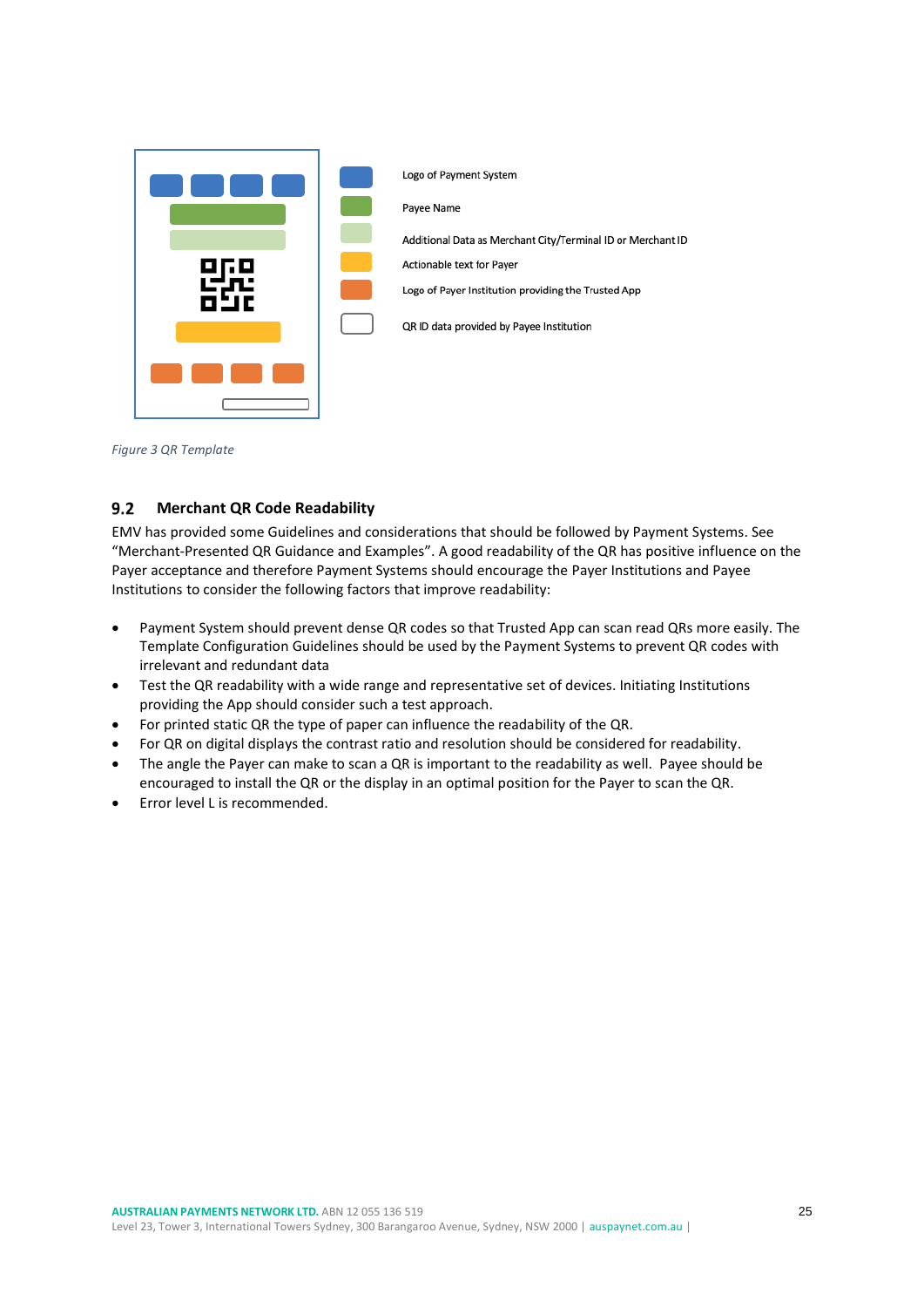

*Figure 3 QR Template*

#### <span id="page-24-1"></span><span id="page-24-0"></span> $9.2$ **Merchant QR Code Readability**

EMV has provided some Guidelines and considerations that should be followed by Payment Systems. See "Merchant-Presented QR Guidance and Examples". A good readability of the QR has positive influence on the Payer acceptance and therefore Payment Systems should encourage the Payer Institutions and Payee Institutions to consider the following factors that improve readability:

- Payment System should prevent dense QR codes so that Trusted App can scan read QRs more easily. The Template Configuration Guidelines should be used by the Payment Systems to prevent QR codes with irrelevant and redundant data
- Test the QR readability with a wide range and representative set of devices. Initiating Institutions providing the App should consider such a test approach.
- For printed static QR the type of paper can influence the readability of the QR.
- For QR on digital displays the contrast ratio and resolution should be considered for readability.
- The angle the Payer can make to scan a QR is important to the readability as well. Payee should be encouraged to install the QR or the display in an optimal position for the Payer to scan the QR.
- Error level L is recommended.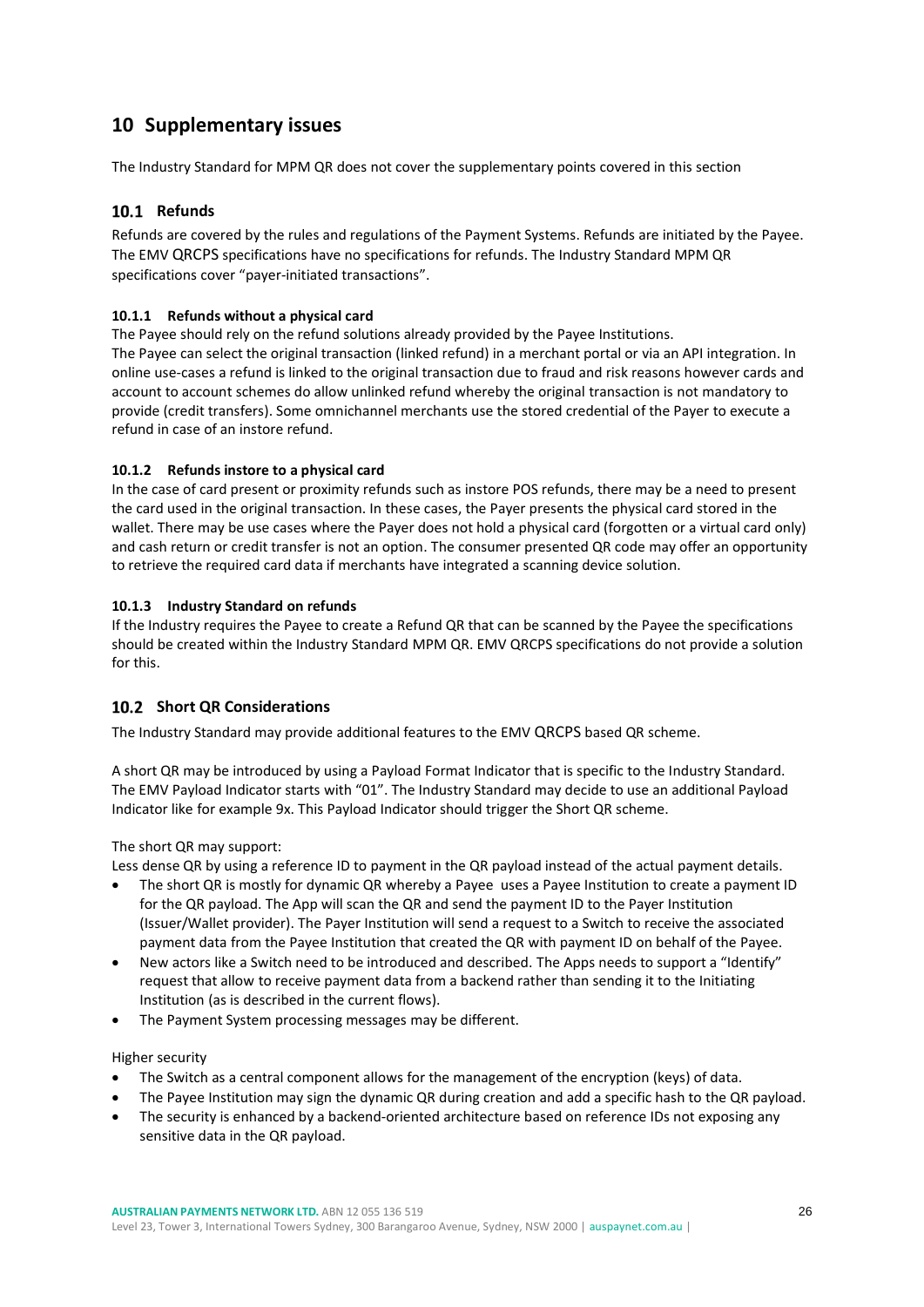# <span id="page-25-0"></span>**10 Supplementary issues**

The Industry Standard for MPM QR does not cover the supplementary points covered in this section

### <span id="page-25-1"></span>10.1 Refunds

Refunds are covered by the rules and regulations of the Payment Systems. Refunds are initiated by the Payee. The EMV QRCPS specifications have no specifications for refunds. The Industry Standard MPM QR specifications cover "payer-initiated transactions".

### <span id="page-25-2"></span>**10.1.1 Refunds without a physical card**

The Payee should rely on the refund solutions already provided by the Payee Institutions. The Payee can select the original transaction (linked refund) in a merchant portal or via an API integration. In online use-cases a refund is linked to the original transaction due to fraud and risk reasons however cards and account to account schemes do allow unlinked refund whereby the original transaction is not mandatory to provide (credit transfers). Some omnichannel merchants use the stored credential of the Payer to execute a refund in case of an instore refund.

### <span id="page-25-3"></span>**10.1.2 Refunds instore to a physical card**

In the case of card present or proximity refunds such as instore POS refunds, there may be a need to present the card used in the original transaction. In these cases, the Payer presents the physical card stored in the wallet. There may be use cases where the Payer does not hold a physical card (forgotten or a virtual card only) and cash return or credit transfer is not an option. The consumer presented QR code may offer an opportunity to retrieve the required card data if merchants have integrated a scanning device solution.

### <span id="page-25-4"></span>**10.1.3 Industry Standard on refunds**

If the Industry requires the Payee to create a Refund QR that can be scanned by the Payee the specifications should be created within the Industry Standard MPM QR. EMV QRCPS specifications do not provide a solution for this.

### <span id="page-25-5"></span>**10.2 Short OR Considerations**

The Industry Standard may provide additional features to the EMV QRCPS based QR scheme.

A short QR may be introduced by using a Payload Format Indicator that is specific to the Industry Standard. The EMV Payload Indicator starts with "01". The Industry Standard may decide to use an additional Payload Indicator like for example 9x. This Payload Indicator should trigger the Short QR scheme.

### The short QR may support:

Less dense QR by using a reference ID to payment in the QR payload instead of the actual payment details.

- The short QR is mostly for dynamic QR whereby a Payee uses a Payee Institution to create a payment ID for the QR payload. The App will scan the QR and send the payment ID to the Payer Institution (Issuer/Wallet provider). The Payer Institution will send a request to a Switch to receive the associated payment data from the Payee Institution that created the QR with payment ID on behalf of the Payee.
- New actors like a Switch need to be introduced and described. The Apps needs to support a "Identify" request that allow to receive payment data from a backend rather than sending it to the Initiating Institution (as is described in the current flows).
- The Payment System processing messages may be different.

### Higher security

- The Switch as a central component allows for the management of the encryption (keys) of data.
- The Payee Institution may sign the dynamic QR during creation and add a specific hash to the QR payload.
- The security is enhanced by a backend-oriented architecture based on reference IDs not exposing any sensitive data in the QR payload.